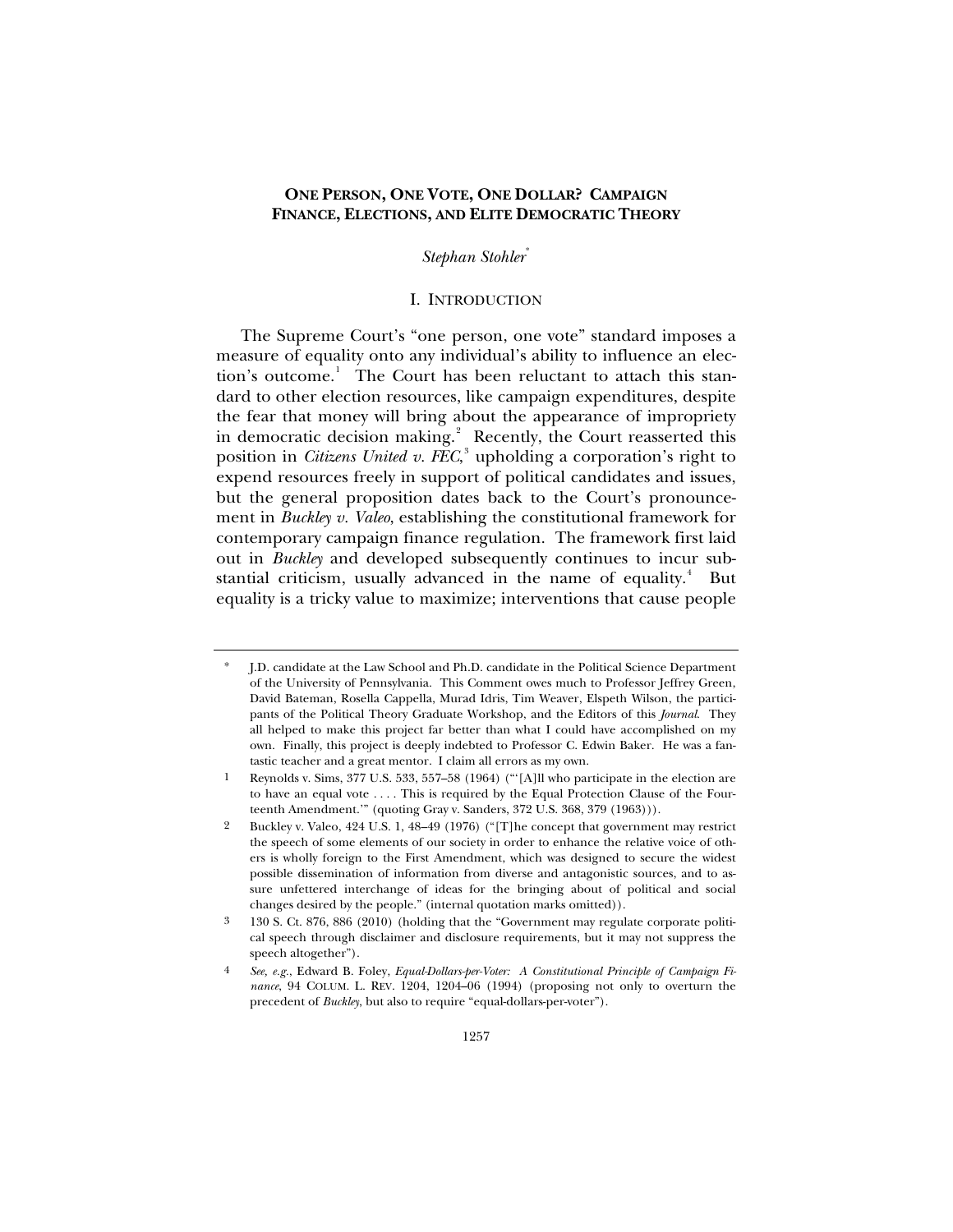# **ONE PERSON, ONE VOTE, ONE DOLLAR? CAMPAIGN FINANCE, ELECTIONS, AND ELITE DEMOCRATIC THEORY**

## *Stephan Stohler*[\\*](#page-0-0)

## I. INTRODUCTION

The Supreme Court's "one person, one vote" standard imposes a measure of equality onto any individual's ability to influence an elec-tion's outcome.<sup>[1](#page-0-1)</sup> The Court has been reluctant to attach this standard to other election resources, like campaign expenditures, despite the fear that money will bring about the appearance of impropriety in democratic decision making.<sup>[2](#page-0-2)</sup> Recently, the Court reasserted this position in *Citizens United v. FEC*, [3](#page-0-3) upholding a corporation's right to expend resources freely in support of political candidates and issues, but the general proposition dates back to the Court's pronouncement in *Buckley v. Valeo*, establishing the constitutional framework for contemporary campaign finance regulation. The framework first laid out in *Buckley* and developed subsequently continues to incur sub-stantial criticism, usually advanced in the name of equality.<sup>[4](#page-0-4)</sup> But equality is a tricky value to maximize; interventions that cause people

<span id="page-0-0"></span><sup>\*</sup> J.D. candidate at the Law School and Ph.D. candidate in the Political Science Department of the University of Pennsylvania. This Comment owes much to Professor Jeffrey Green, David Bateman, Rosella Cappella, Murad Idris, Tim Weaver, Elspeth Wilson, the participants of the Political Theory Graduate Workshop, and the Editors of this *Journal*. They all helped to make this project far better than what I could have accomplished on my own. Finally, this project is deeply indebted to Professor C. Edwin Baker. He was a fantastic teacher and a great mentor. I claim all errors as my own.

<span id="page-0-1"></span>Reynolds v. Sims, 377 U.S. 533, 557-58 (1964) ("'[A]ll who participate in the election are to have an equal vote . . . . This is required by the Equal Protection Clause of the Fourteenth Amendment.'" (quoting Gray v. Sanders, 372 U.S. 368, 379 (1963))).

<span id="page-0-2"></span><sup>2</sup> Buckley v. Valeo, 424 U.S. 1, 48–49 (1976) ("[T]he concept that government may restrict the speech of some elements of our society in order to enhance the relative voice of others is wholly foreign to the First Amendment, which was designed to secure the widest possible dissemination of information from diverse and antagonistic sources, and to assure unfettered interchange of ideas for the bringing about of political and social changes desired by the people." (internal quotation marks omitted)).

<span id="page-0-3"></span><sup>3 130</sup> S. Ct. 876, 886 (2010) (holding that the "Government may regulate corporate political speech through disclaimer and disclosure requirements, but it may not suppress the speech altogether").

<span id="page-0-4"></span><sup>4</sup> *See, e.g.*, Edward B. Foley, *Equal-Dollars-per-Voter: A Constitutional Principle of Campaign Finance*, 94 COLUM. L. REV. 1204, 1204–06 (1994) (proposing not only to overturn the precedent of *Buckley*, but also to require "equal-dollars-per-voter").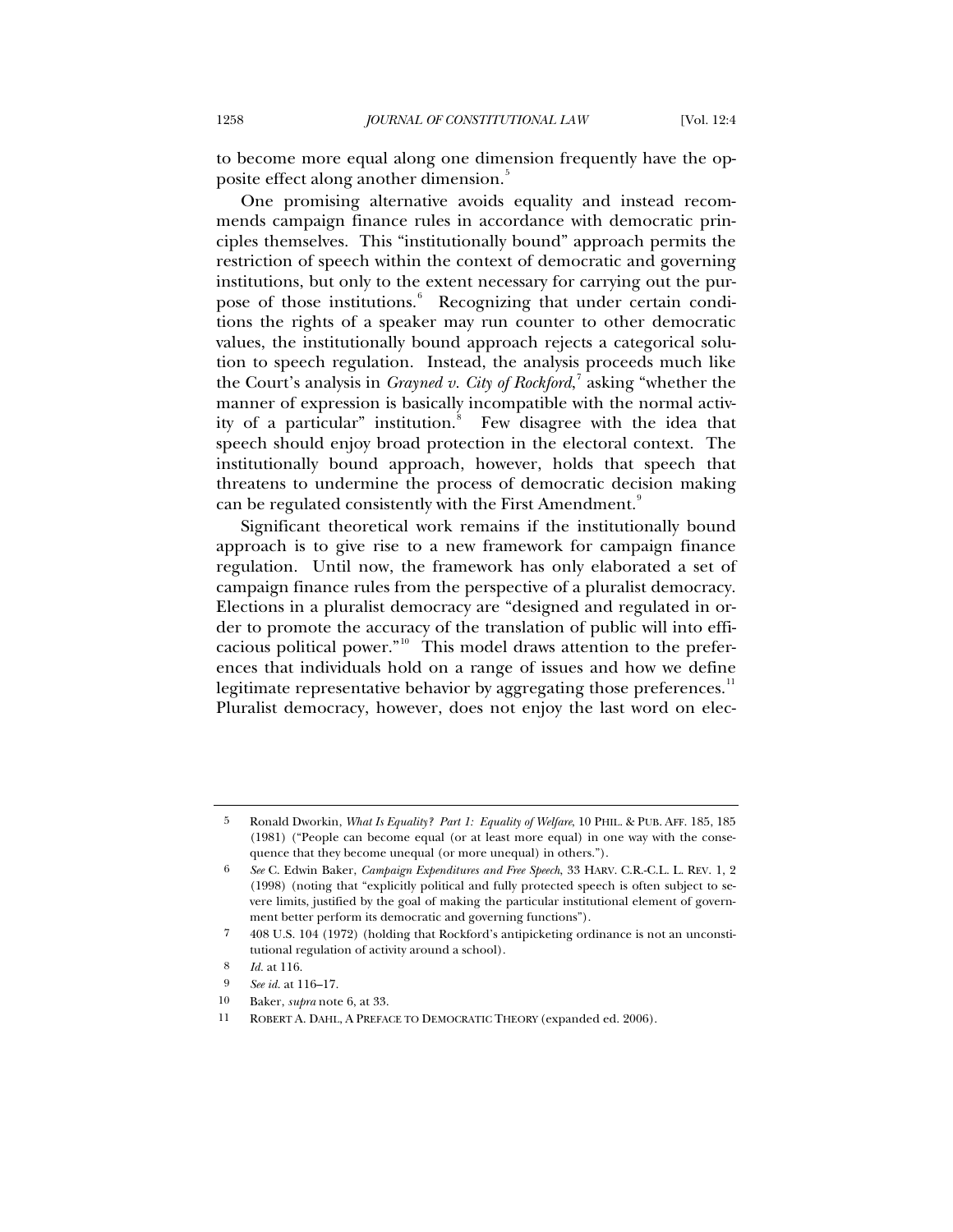to become more equal along one dimension frequently have the op-posite effect along another dimension.<sup>[5](#page-1-0)</sup>

One promising alternative avoids equality and instead recommends campaign finance rules in accordance with democratic principles themselves. This "institutionally bound" approach permits the restriction of speech within the context of democratic and governing institutions, but only to the extent necessary for carrying out the pur-pose of those institutions.<sup>[6](#page-1-1)</sup> Recognizing that under certain conditions the rights of a speaker may run counter to other democratic values, the institutionally bound approach rejects a categorical solution to speech regulation. Instead, the analysis proceeds much like the Court's analysis in *Grayned v. City of Rockford*, [7](#page-1-2) asking "whether the manner of expression is basically incompatible with the normal activ-ity of a particular" institution.<sup>[8](#page-1-3)</sup> Few disagree with the idea that speech should enjoy broad protection in the electoral context. The institutionally bound approach, however, holds that speech that threatens to undermine the process of democratic decision making can be regulated consistently with the First Amendment.<sup>[9](#page-1-4)</sup>

Significant theoretical work remains if the institutionally bound approach is to give rise to a new framework for campaign finance regulation. Until now, the framework has only elaborated a set of campaign finance rules from the perspective of a pluralist democracy. Elections in a pluralist democracy are "designed and regulated in order to promote the accuracy of the translation of public will into efficacious political power." $10$  This model draws attention to the preferences that individuals hold on a range of issues and how we define legitimate representative behavior by aggregating those preferences. $^{\mathrm{II}}$ Pluralist democracy, however, does not enjoy the last word on elec-

<span id="page-1-0"></span><sup>5</sup> Ronald Dworkin, *What Is Equality? Part 1: Equality of Welfare*, 10 PHIL. & PUB. AFF. 185, 185 (1981) ("People can become equal (or at least more equal) in one way with the consequence that they become unequal (or more unequal) in others.").

<span id="page-1-1"></span><sup>6</sup> *See* C. Edwin Baker, *Campaign Expenditures and Free Speech*, 33 HARV. C.R.-C.L. L. REV. 1, 2 (1998) (noting that "explicitly political and fully protected speech is often subject to severe limits, justified by the goal of making the particular institutional element of government better perform its democratic and governing functions").

<span id="page-1-2"></span><sup>7 408</sup> U.S. 104 (1972) (holding that Rockford's antipicketing ordinance is not an unconstitutional regulation of activity around a school).

<sup>8</sup> *Id.* at 116.

<span id="page-1-4"></span><span id="page-1-3"></span><sup>9</sup> *See id.* at 116–17.

<sup>10</sup> Baker, *supra* note 6, at 33.

<span id="page-1-6"></span><span id="page-1-5"></span><sup>11</sup> ROBERT A. DAHL, A PREFACE TO DEMOCRATIC THEORY (expanded ed. 2006).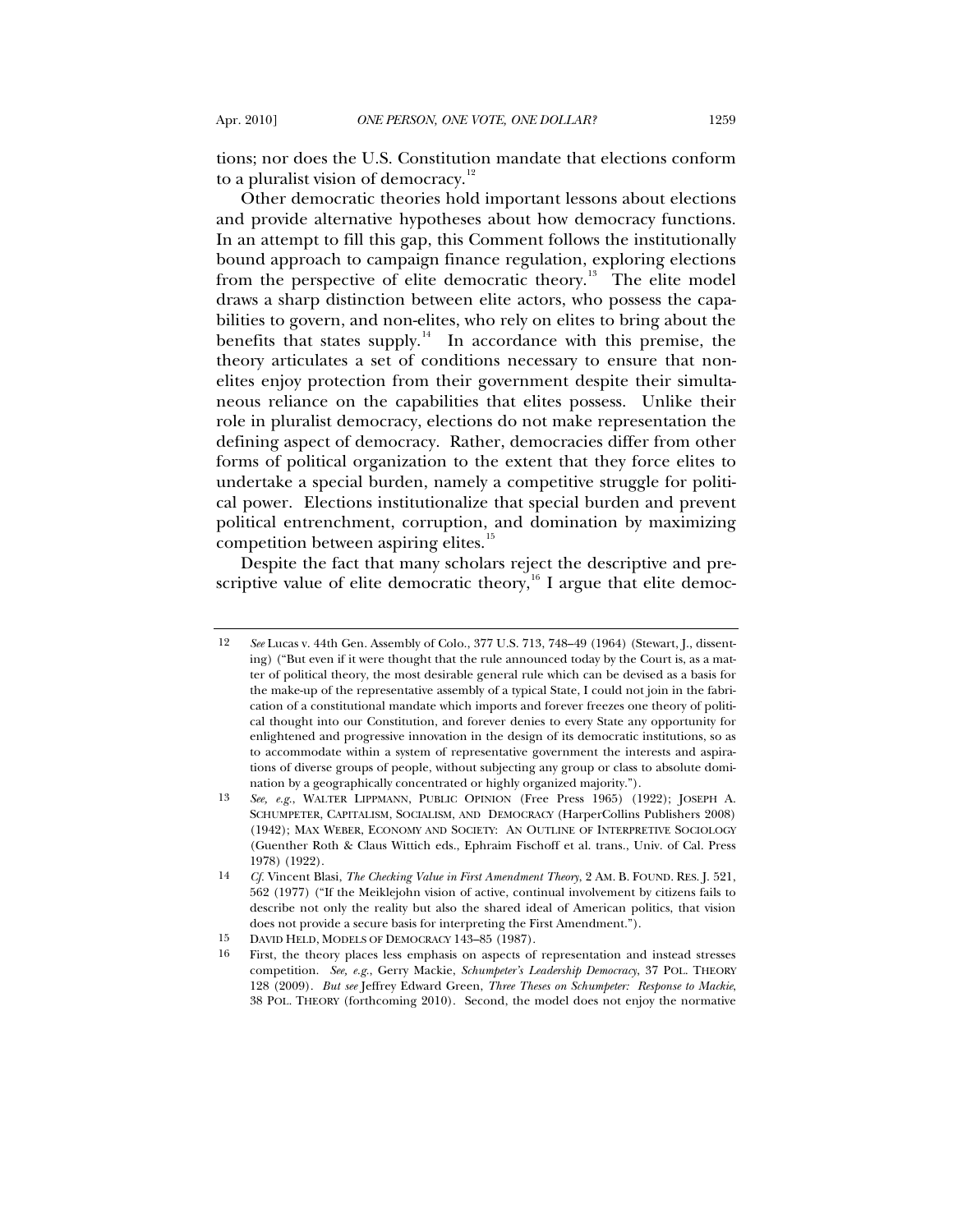tions; nor does the U.S. Constitution mandate that elections conform to a pluralist vision of democracy.<sup>[12](#page-2-0)</sup>

Other democratic theories hold important lessons about elections and provide alternative hypotheses about how democracy functions. In an attempt to fill this gap, this Comment follows the institutionally bound approach to campaign finance regulation, exploring elections from the perspective of elite democratic theory.<sup>[13](#page-2-1)</sup> The elite model draws a sharp distinction between elite actors, who possess the capabilities to govern, and non-elites, who rely on elites to bring about the benefits that states supply.<sup>[14](#page-2-2)</sup> In accordance with this premise, the theory articulates a set of conditions necessary to ensure that nonelites enjoy protection from their government despite their simultaneous reliance on the capabilities that elites possess. Unlike their role in pluralist democracy, elections do not make representation the defining aspect of democracy. Rather, democracies differ from other forms of political organization to the extent that they force elites to undertake a special burden, namely a competitive struggle for political power. Elections institutionalize that special burden and prevent political entrenchment, corruption, and domination by maximizing competition between aspiring elites.<sup>[15](#page-2-3)</sup>

Despite the fact that many scholars reject the descriptive and pre-scriptive value of elite democratic theory,<sup>[16](#page-2-4)</sup> I argue that elite democ-

<span id="page-2-0"></span><sup>12</sup> *See* Lucas v. 44th Gen. Assembly of Colo., 377 U.S. 713, 748–49 (1964) (Stewart, J., dissenting) ("But even if it were thought that the rule announced today by the Court is, as a matter of political theory, the most desirable general rule which can be devised as a basis for the make-up of the representative assembly of a typical State, I could not join in the fabrication of a constitutional mandate which imports and forever freezes one theory of political thought into our Constitution, and forever denies to every State any opportunity for enlightened and progressive innovation in the design of its democratic institutions, so as to accommodate within a system of representative government the interests and aspirations of diverse groups of people, without subjecting any group or class to absolute domination by a geographically concentrated or highly organized majority.").

<span id="page-2-1"></span><sup>13</sup> *See, e.g.*, WALTER LIPPMANN, PUBLIC OPINION (Free Press 1965) (1922); JOSEPH A. SCHUMPETER, CAPITALISM, SOCIALISM, AND DEMOCRACY (HarperCollins Publishers 2008) (1942); MAX WEBER, ECONOMY AND SOCIETY: AN OUTLINE OF INTERPRETIVE SOCIOLOGY (Guenther Roth & Claus Wittich eds., Ephraim Fischoff et al. trans., Univ. of Cal. Press 1978) (1922).

<span id="page-2-2"></span><sup>14</sup> *Cf.* Vincent Blasi, *The Checking Value in First Amendment Theory*, 2 AM. B. FOUND. RES. J. 521, 562 (1977) ("If the Meiklejohn vision of active, continual involvement by citizens fails to describe not only the reality but also the shared ideal of American politics, that vision does not provide a secure basis for interpreting the First Amendment.").

<sup>15</sup> DAVID HELD, MODELS OF DEMOCRACY 143-85 (1987).<br>16 First, the theory places less emphasis on aspects of

<span id="page-2-4"></span><span id="page-2-3"></span><sup>16</sup> First, the theory places less emphasis on aspects of representation and instead stresses competition. *See, e.g.*, Gerry Mackie, *Schumpeter's Leadership Democracy*, 37 POL. THEORY 128 (2009). *But see* Jeffrey Edward Green, *Three Theses on Schumpeter: Response to Mackie*, 38 POL. THEORY (forthcoming 2010). Second, the model does not enjoy the normative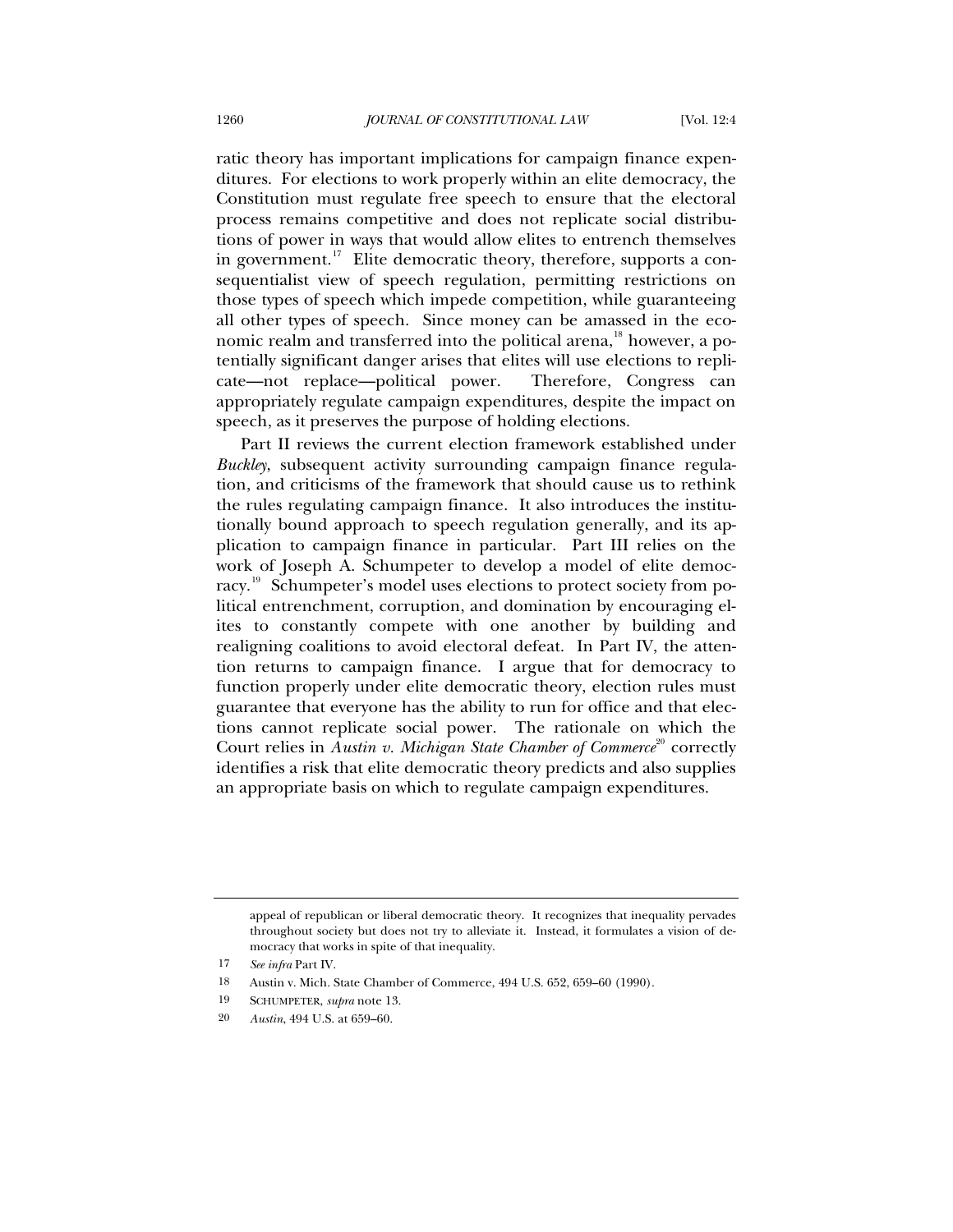ratic theory has important implications for campaign finance expenditures. For elections to work properly within an elite democracy, the Constitution must regulate free speech to ensure that the electoral process remains competitive and does not replicate social distributions of power in ways that would allow elites to entrench themselves in government.<sup>[17](#page-3-0)</sup> Elite democratic theory, therefore, supports a consequentialist view of speech regulation, permitting restrictions on those types of speech which impede competition, while guaranteeing all other types of speech. Since money can be amassed in the economic realm and transferred into the political arena, $^{18}$  $^{18}$  $^{18}$  however, a potentially significant danger arises that elites will use elections to replicate—not replace—political power. Therefore, Congress can appropriately regulate campaign expenditures, despite the impact on speech, as it preserves the purpose of holding elections.

Part II reviews the current election framework established under *Buckley*, subsequent activity surrounding campaign finance regulation, and criticisms of the framework that should cause us to rethink the rules regulating campaign finance. It also introduces the institutionally bound approach to speech regulation generally, and its application to campaign finance in particular. Part III relies on the work of Joseph A. Schumpeter to develop a model of elite democ-racy.<sup>[19](#page-3-2)</sup> Schumpeter's model uses elections to protect society from political entrenchment, corruption, and domination by encouraging elites to constantly compete with one another by building and realigning coalitions to avoid electoral defeat. In Part IV, the attention returns to campaign finance. I argue that for democracy to function properly under elite democratic theory, election rules must guarantee that everyone has the ability to run for office and that elections cannot replicate social power. The rationale on which the Court relies in *Austin v. Michigan State Chamber of Commerce*<sup>[20](#page-3-3)</sup> correctly identifies a risk that elite democratic theory predicts and also supplies an appropriate basis on which to regulate campaign expenditures.

appeal of republican or liberal democratic theory. It recognizes that inequality pervades throughout society but does not try to alleviate it. Instead, it formulates a vision of democracy that works in spite of that inequality.

<span id="page-3-0"></span><sup>17</sup> *See infra* Part IV.

<span id="page-3-2"></span><span id="page-3-1"></span><sup>18</sup> Austin v. Mich. State Chamber of Commerce, 494 U.S. 652, 659–60 (1990).

<sup>19</sup> SCHUMPETER, *supra* note 13.

<span id="page-3-3"></span><sup>20</sup> *Austin*, 494 U.S. at 659–60.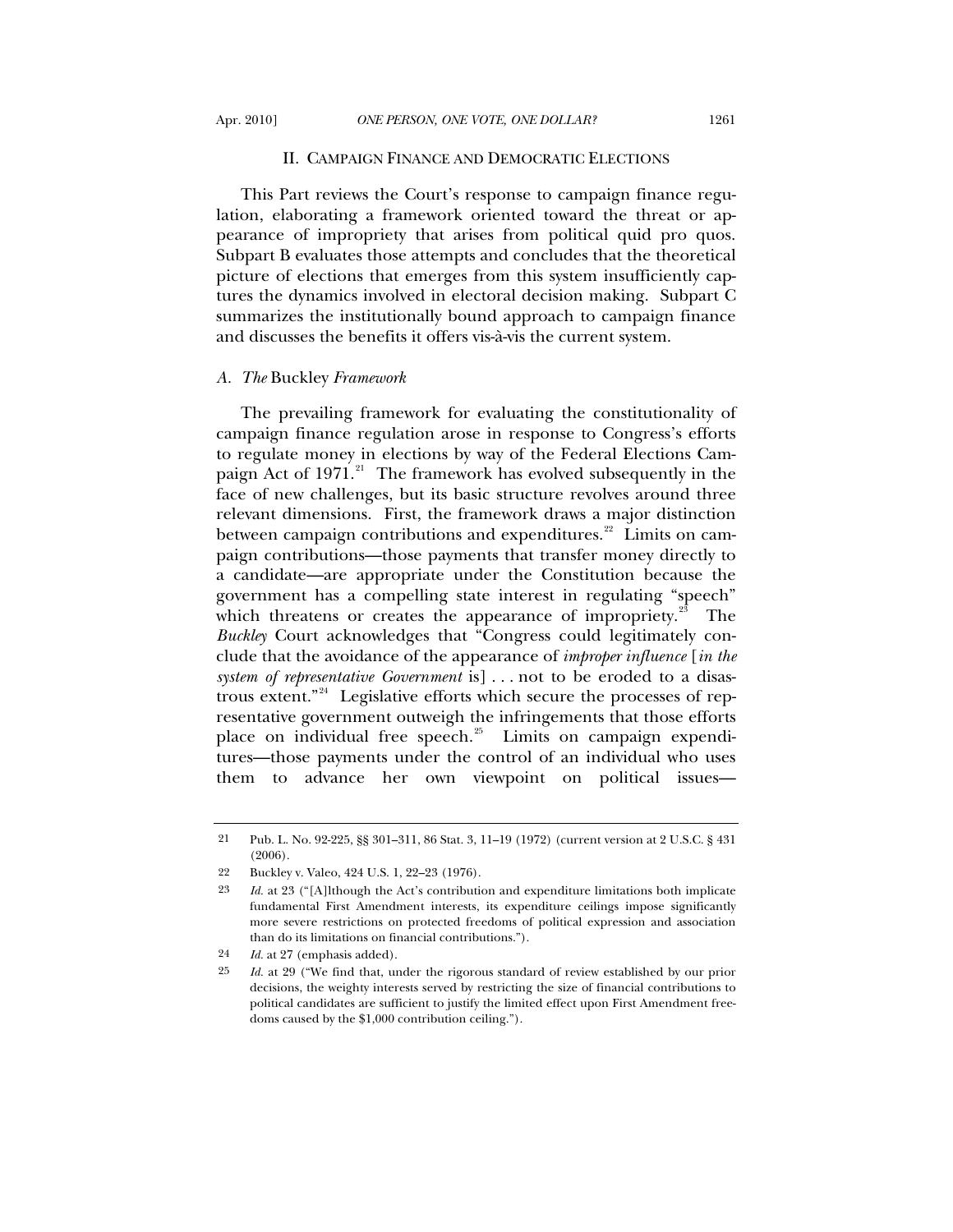#### II. CAMPAIGN FINANCE AND DEMOCRATIC ELECTIONS

This Part reviews the Court's response to campaign finance regulation, elaborating a framework oriented toward the threat or appearance of impropriety that arises from political quid pro quos. Subpart B evaluates those attempts and concludes that the theoretical picture of elections that emerges from this system insufficiently captures the dynamics involved in electoral decision making. Subpart C summarizes the institutionally bound approach to campaign finance and discusses the benefits it offers vis-à-vis the current system.

### *A. The* Buckley *Framework*

The prevailing framework for evaluating the constitutionality of campaign finance regulation arose in response to Congress's efforts to regulate money in elections by way of the Federal Elections Cam-paign Act of 1971.<sup>[21](#page-4-0)</sup> The framework has evolved subsequently in the face of new challenges, but its basic structure revolves around three relevant dimensions. First, the framework draws a major distinction between campaign contributions and expenditures. $22$  Limits on campaign contributions—those payments that transfer money directly to a candidate—are appropriate under the Constitution because the government has a compelling state interest in regulating "speech" which threatens or creates the appearance of impropriety. $23$  The *Buckley* Court acknowledges that "Congress could legitimately conclude that the avoidance of the appearance of *improper influence* [*in the system of representative Government* is] . . . not to be eroded to a disastrous extent."[24](#page-4-3) Legislative efforts which secure the processes of representative government outweigh the infringements that those efforts place on individual free speech. $25$  Limits on campaign expenditures—those payments under the control of an individual who uses them to advance her own viewpoint on political issues—

<span id="page-4-0"></span><sup>21</sup> Pub. L. No. 92-225, §§ 301–311, 86 Stat. 3, 11–19 (1972) (current version at 2 U.S.C. § 431 (2006).

<span id="page-4-1"></span><sup>22</sup> Buckley v. Valeo, 424 U.S. 1, 22–23 (1976).

<span id="page-4-2"></span><sup>23</sup> *Id.* at 23 ("[A]lthough the Act's contribution and expenditure limitations both implicate fundamental First Amendment interests, its expenditure ceilings impose significantly more severe restrictions on protected freedoms of political expression and association than do its limitations on financial contributions.").

<span id="page-4-3"></span><sup>24</sup> *Id.* at 27 (emphasis added).

<span id="page-4-4"></span><sup>25</sup> *Id.* at 29 ("We find that, under the rigorous standard of review established by our prior decisions, the weighty interests served by restricting the size of financial contributions to political candidates are sufficient to justify the limited effect upon First Amendment freedoms caused by the \$1,000 contribution ceiling.").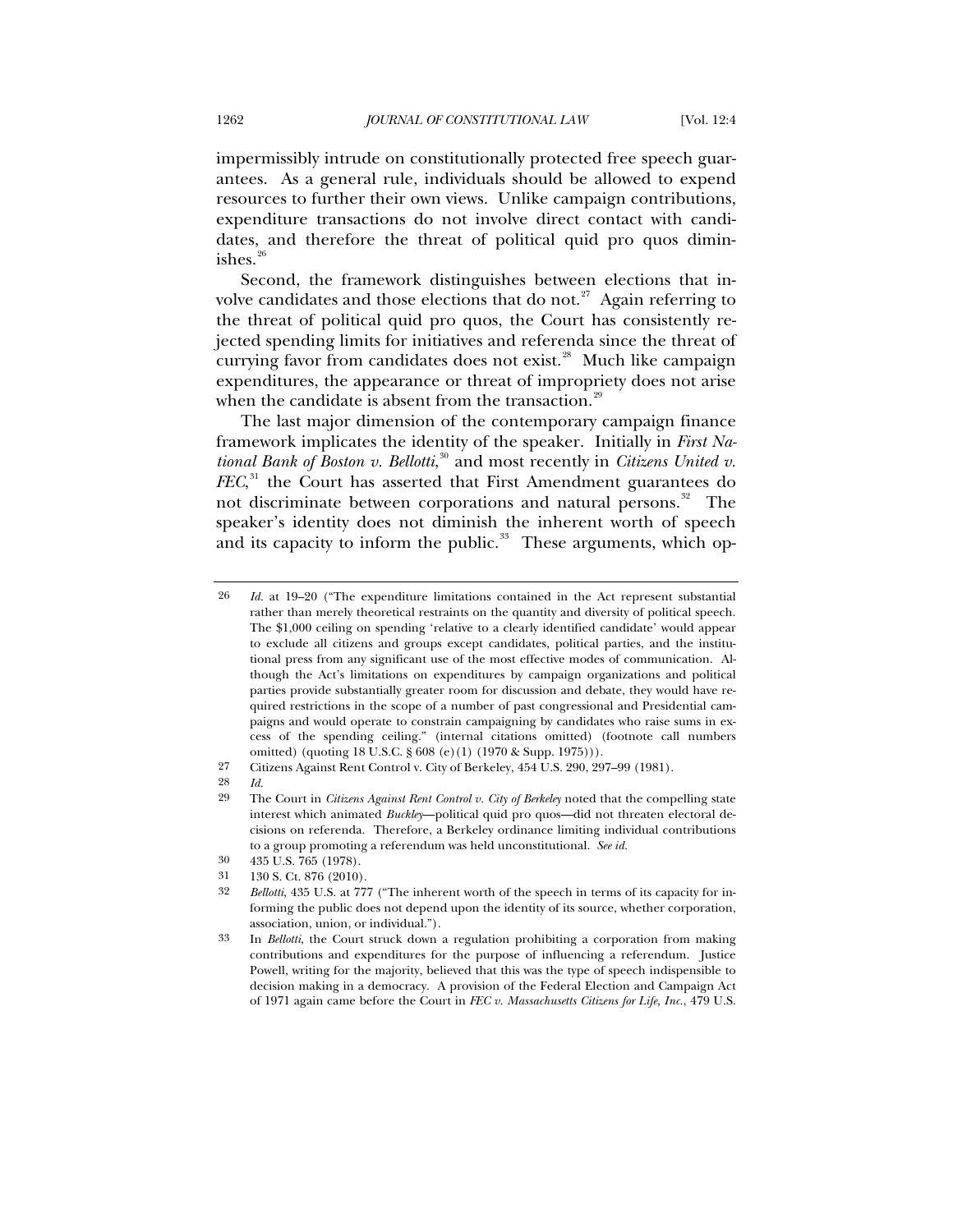impermissibly intrude on constitutionally protected free speech guarantees. As a general rule, individuals should be allowed to expend resources to further their own views. Unlike campaign contributions, expenditure transactions do not involve direct contact with candidates, and therefore the threat of political quid pro quos diminishes. $26$ 

Second, the framework distinguishes between elections that in-volve candidates and those elections that do not.<sup>[27](#page-5-1)</sup> Again referring to the threat of political quid pro quos, the Court has consistently rejected spending limits for initiatives and referenda since the threat of currying favor from candidates does not exist.<sup>[28](#page-5-2)</sup> Much like campaign expenditures, the appearance or threat of impropriety does not arise when the candidate is absent from the transaction.<sup>[29](#page-5-3)</sup>

The last major dimension of the contemporary campaign finance framework implicates the identity of the speaker. Initially in *First National Bank of Boston v. Bellotti*, [30](#page-5-4) and most recently in *Citizens United v. FEC*, [31](#page-5-5) the Court has asserted that First Amendment guarantees do not discriminate between corporations and natural persons.<sup>[32](#page-5-6)</sup> The speaker's identity does not diminish the inherent worth of speech and its capacity to inform the public.<sup>[33](#page-5-7)</sup> These arguments, which op-

<span id="page-5-0"></span><sup>26</sup> *Id.* at 19–20 ("The expenditure limitations contained in the Act represent substantial rather than merely theoretical restraints on the quantity and diversity of political speech. The \$1,000 ceiling on spending 'relative to a clearly identified candidate' would appear to exclude all citizens and groups except candidates, political parties, and the institutional press from any significant use of the most effective modes of communication. Although the Act's limitations on expenditures by campaign organizations and political parties provide substantially greater room for discussion and debate, they would have required restrictions in the scope of a number of past congressional and Presidential campaigns and would operate to constrain campaigning by candidates who raise sums in excess of the spending ceiling." (internal citations omitted) (footnote call numbers omitted) (quoting 18 U.S.C. § 608 (e)(1) (1970 & Supp. 1975))).

<span id="page-5-1"></span><sup>27</sup> Citizens Against Rent Control v. City of Berkeley, 454 U.S. 290, 297–99 (1981).

<span id="page-5-3"></span><span id="page-5-2"></span><sup>28</sup> *Id.*

<sup>29</sup> The Court in *Citizens Against Rent Control v. City of Berkeley* noted that the compelling state interest which animated *Buckley*—political quid pro quos—did not threaten electoral decisions on referenda. Therefore, a Berkeley ordinance limiting individual contributions to a group promoting a referendum was held unconstitutional. *See id.*

<span id="page-5-4"></span><sup>30 435</sup> U.S. 765 (1978).

<sup>31 130</sup> S. Ct. 876 (2010).<br>32 *Rellatti* 435 U.S. at 77

<span id="page-5-6"></span><span id="page-5-5"></span><sup>32</sup> *Bellotti*, 435 U.S. at 777 ("The inherent worth of the speech in terms of its capacity for informing the public does not depend upon the identity of its source, whether corporation, association, union, or individual.").

<span id="page-5-7"></span><sup>33</sup> In *Bellotti*, the Court struck down a regulation prohibiting a corporation from making contributions and expenditures for the purpose of influencing a referendum. Justice Powell, writing for the majority, believed that this was the type of speech indispensible to decision making in a democracy. A provision of the Federal Election and Campaign Act of 1971 again came before the Court in *FEC v. Massachusetts Citizens for Life, Inc.*, 479 U.S.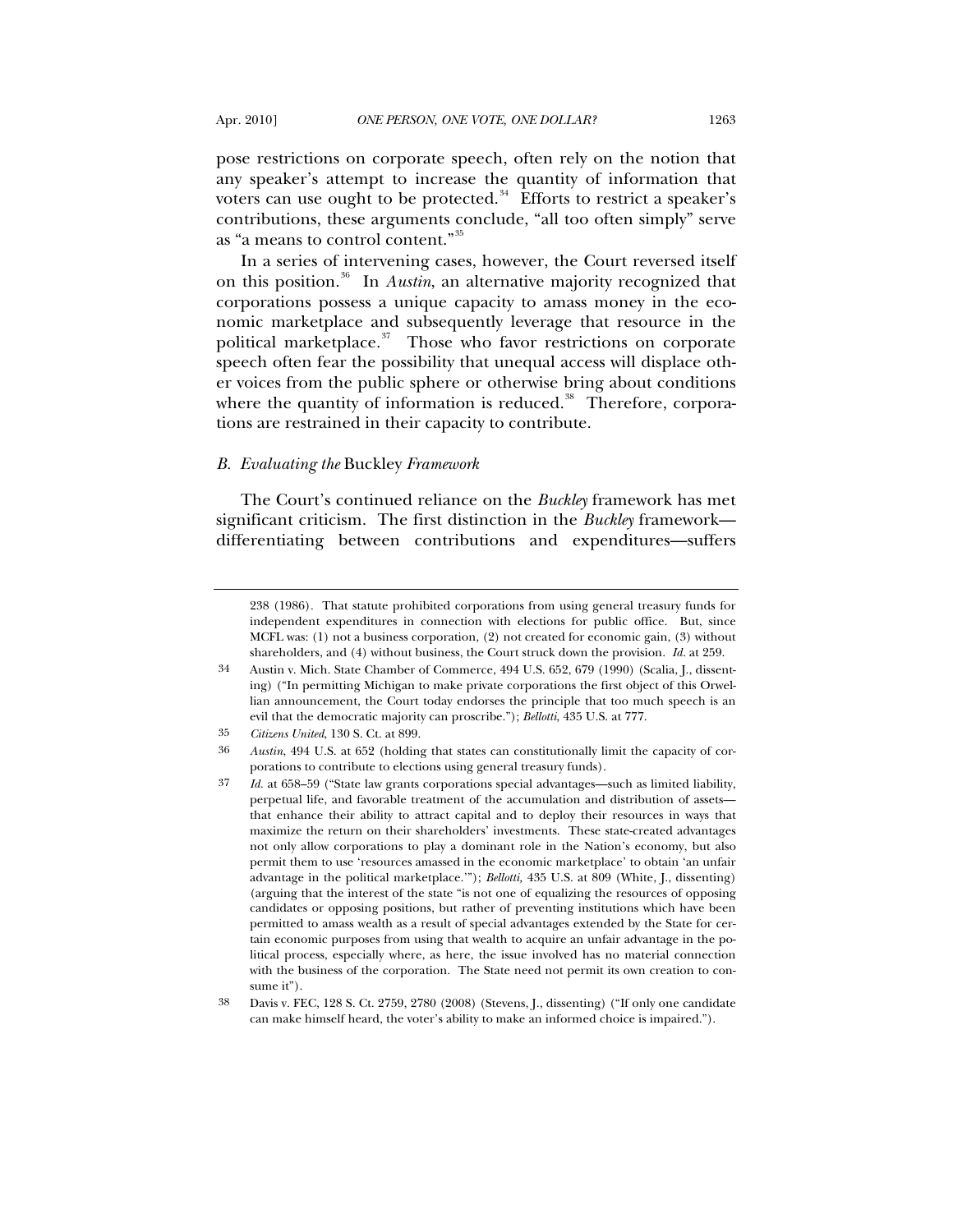pose restrictions on corporate speech, often rely on the notion that any speaker's attempt to increase the quantity of information that voters can use ought to be protected. $34$  Efforts to restrict a speaker's contributions, these arguments conclude, "all too often simply" serve as "a means to control content."[35](#page-6-1)

In a series of intervening cases, however, the Court reversed itself on this position.[36](#page-6-2) In *Austin*, an alternative majority recognized that corporations possess a unique capacity to amass money in the economic marketplace and subsequently leverage that resource in the political marketplace. $37$  Those who favor restrictions on corporate speech often fear the possibility that unequal access will displace other voices from the public sphere or otherwise bring about conditions where the quantity of information is reduced.<sup>[38](#page-6-4)</sup> Therefore, corporations are restrained in their capacity to contribute.

### *B. Evaluating the* Buckley *Framework*

The Court's continued reliance on the *Buckley* framework has met significant criticism. The first distinction in the *Buckley* framework differentiating between contributions and expenditures—suffers

<sup>238 (1986)</sup>*.* That statute prohibited corporations from using general treasury funds for independent expenditures in connection with elections for public office. But, since MCFL was: (1) not a business corporation, (2) not created for economic gain, (3) without shareholders, and (4) without business, the Court struck down the provision. *Id.* at 259.

<span id="page-6-0"></span><sup>34</sup> Austin v. Mich. State Chamber of Commerce, 494 U.S. 652, 679 (1990) (Scalia, J., dissenting) ("In permitting Michigan to make private corporations the first object of this Orwellian announcement, the Court today endorses the principle that too much speech is an evil that the democratic majority can proscribe."); *Bellotti*, 435 U.S. at 777.

<sup>35</sup> *Citizens United*, 130 S. Ct. at 899.

<span id="page-6-2"></span><span id="page-6-1"></span><sup>36</sup> *Austin*, 494 U.S. at 652 (holding that states can constitutionally limit the capacity of corporations to contribute to elections using general treasury funds).

<span id="page-6-3"></span><sup>37</sup> *Id.* at 658–59 ("State law grants corporations special advantages—such as limited liability, perpetual life, and favorable treatment of the accumulation and distribution of assets that enhance their ability to attract capital and to deploy their resources in ways that maximize the return on their shareholders' investments. These state-created advantages not only allow corporations to play a dominant role in the Nation's economy, but also permit them to use 'resources amassed in the economic marketplace' to obtain 'an unfair advantage in the political marketplace.'"); *Bellotti,* 435 U.S. at 809 (White, J., dissenting) (arguing that the interest of the state "is not one of equalizing the resources of opposing candidates or opposing positions, but rather of preventing institutions which have been permitted to amass wealth as a result of special advantages extended by the State for certain economic purposes from using that wealth to acquire an unfair advantage in the political process, especially where, as here, the issue involved has no material connection with the business of the corporation. The State need not permit its own creation to consume it").

<span id="page-6-4"></span><sup>38</sup> Davis v. FEC, 128 S. Ct. 2759, 2780 (2008) (Stevens, J., dissenting) ("If only one candidate can make himself heard, the voter's ability to make an informed choice is impaired.").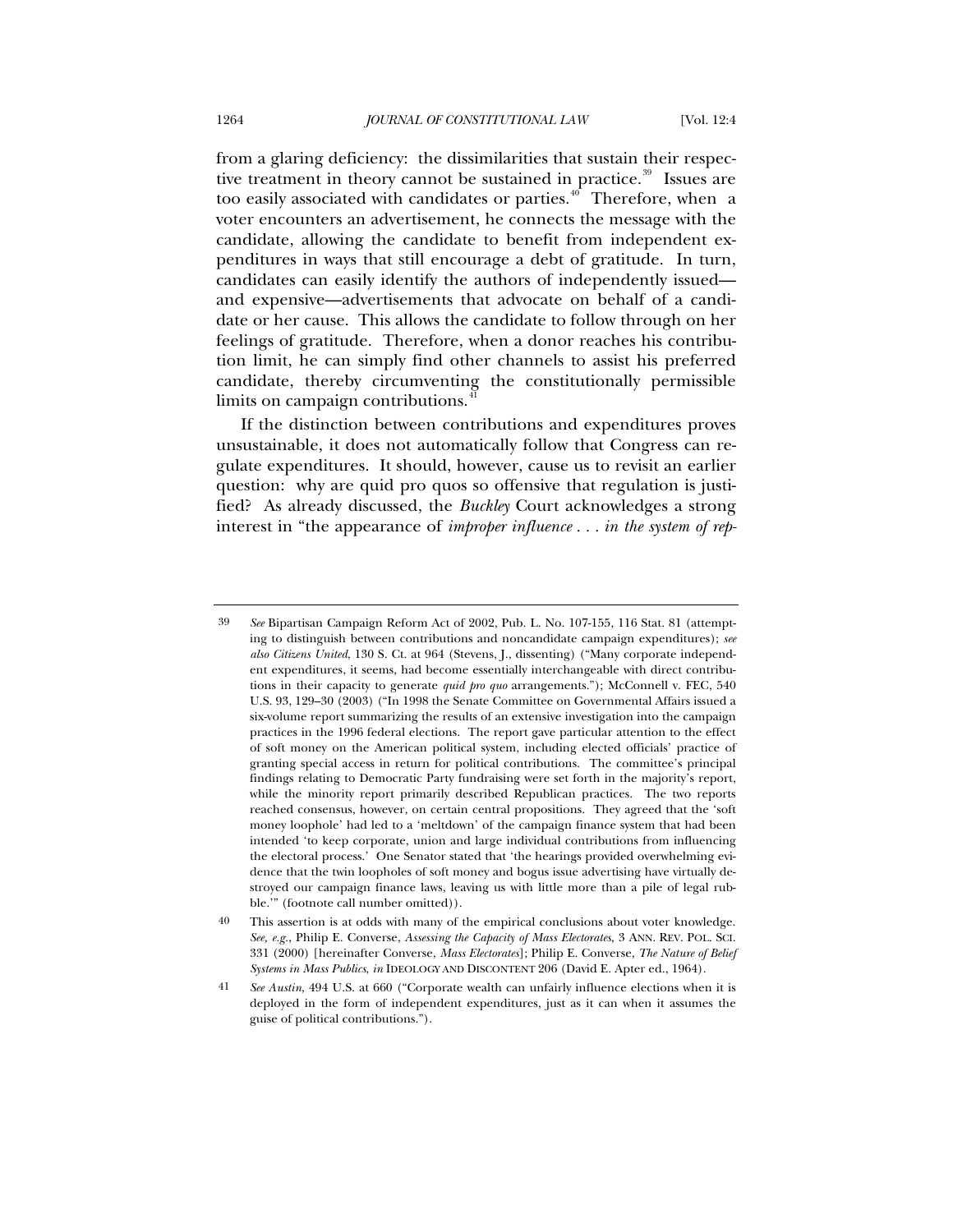from a glaring deficiency: the dissimilarities that sustain their respective treatment in theory cannot be sustained in practice. $39$  Issues are too easily associated with candidates or parties.<sup> $40$ </sup> Therefore, when a voter encounters an advertisement, he connects the message with the candidate, allowing the candidate to benefit from independent expenditures in ways that still encourage a debt of gratitude. In turn, candidates can easily identify the authors of independently issued and expensive—advertisements that advocate on behalf of a candidate or her cause. This allows the candidate to follow through on her feelings of gratitude. Therefore, when a donor reaches his contribution limit, he can simply find other channels to assist his preferred candidate, thereby circumventing the constitutionally permissible limits on campaign contributions.<sup>[41](#page-7-2)</sup>

If the distinction between contributions and expenditures proves unsustainable, it does not automatically follow that Congress can regulate expenditures. It should, however, cause us to revisit an earlier question: why are quid pro quos so offensive that regulation is justified? As already discussed, the *Buckley* Court acknowledges a strong interest in "the appearance of *improper influence . . . in the system of rep-*

<span id="page-7-0"></span><sup>39</sup> *See* Bipartisan Campaign Reform Act of 2002, Pub. L. No. 107-155, 116 Stat. 81 (attempting to distinguish between contributions and noncandidate campaign expenditures); *see also Citizens United*, 130 S. Ct. at 964 (Stevens, J., dissenting) ("Many corporate independent expenditures, it seems, had become essentially interchangeable with direct contributions in their capacity to generate *quid pro quo* arrangements."); McConnell v. FEC, 540 U.S. 93, 129–30 (2003) ("In 1998 the Senate Committee on Governmental Affairs issued a six-volume report summarizing the results of an extensive investigation into the campaign practices in the 1996 federal elections. The report gave particular attention to the effect of soft money on the American political system, including elected officials' practice of granting special access in return for political contributions. The committee's principal findings relating to Democratic Party fundraising were set forth in the majority's report, while the minority report primarily described Republican practices. The two reports reached consensus, however, on certain central propositions. They agreed that the 'soft money loophole' had led to a 'meltdown' of the campaign finance system that had been intended 'to keep corporate, union and large individual contributions from influencing the electoral process.' One Senator stated that 'the hearings provided overwhelming evidence that the twin loopholes of soft money and bogus issue advertising have virtually destroyed our campaign finance laws, leaving us with little more than a pile of legal rubble.'" (footnote call number omitted)).

<span id="page-7-1"></span><sup>40</sup> This assertion is at odds with many of the empirical conclusions about voter knowledge. *See, e.g.*, Philip E. Converse, *Assessing the Capacity of Mass Electorates*, 3 ANN. REV. POL. SCI. 331 (2000) [hereinafter Converse, *Mass Electorates*]; Philip E. Converse, *The Nature of Belief Systems in Mass Publics*, *in* IDEOLOGY AND DISCONTENT 206 (David E. Apter ed., 1964).

<span id="page-7-2"></span><sup>41</sup> *See Austin*, 494 U.S. at 660 ("Corporate wealth can unfairly influence elections when it is deployed in the form of independent expenditures, just as it can when it assumes the guise of political contributions.").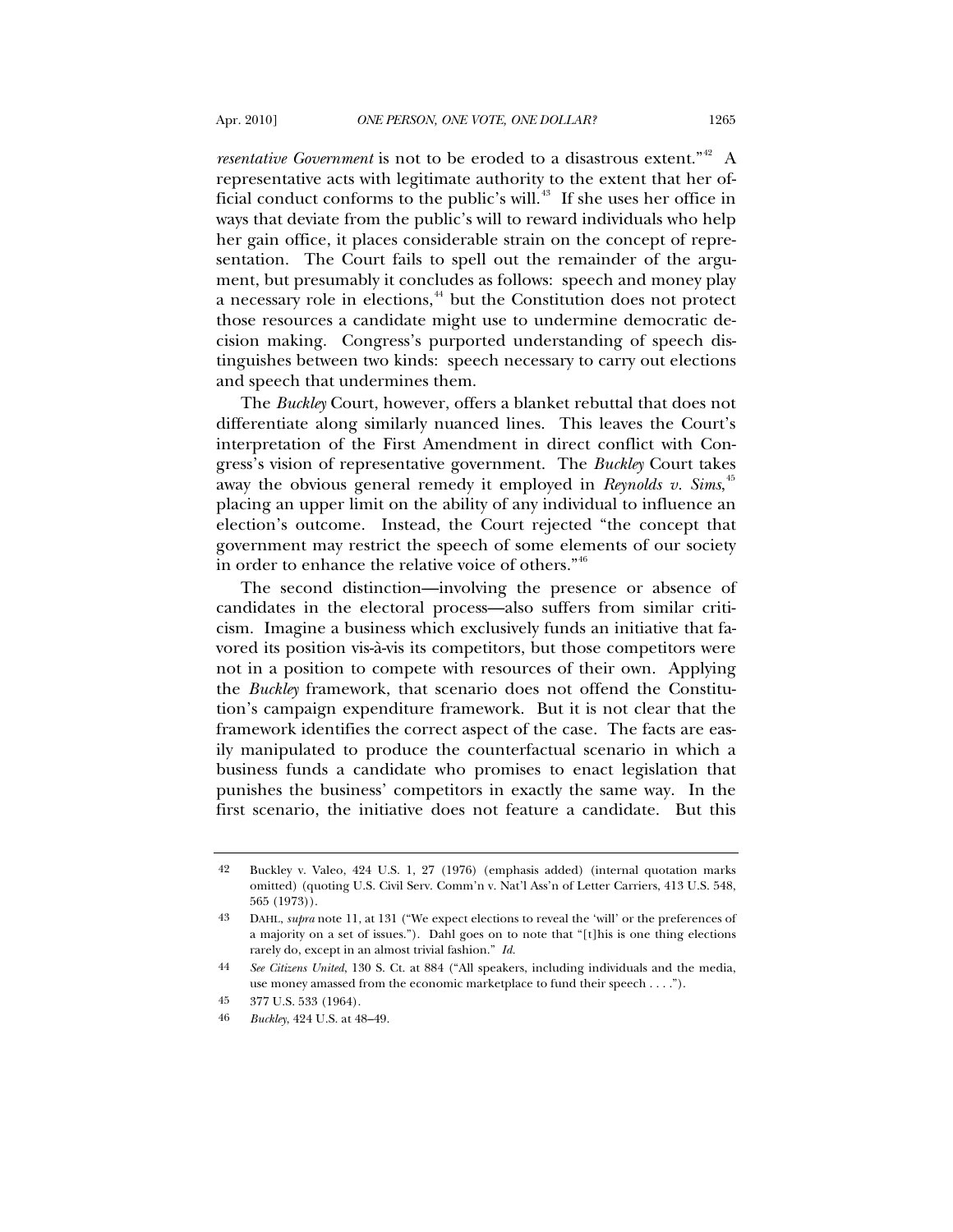*resentative Government* is not to be eroded to a disastrous extent."<sup>[42](#page-8-0)</sup> A representative acts with legitimate authority to the extent that her of-ficial conduct conforms to the public's will.<sup>[43](#page-8-1)</sup> If she uses her office in ways that deviate from the public's will to reward individuals who help her gain office, it places considerable strain on the concept of representation. The Court fails to spell out the remainder of the argument, but presumably it concludes as follows: speech and money play a necessary role in elections,<sup>[44](#page-8-2)</sup> but the Constitution does not protect those resources a candidate might use to undermine democratic decision making. Congress's purported understanding of speech distinguishes between two kinds: speech necessary to carry out elections and speech that undermines them.

The *Buckley* Court, however, offers a blanket rebuttal that does not differentiate along similarly nuanced lines. This leaves the Court's interpretation of the First Amendment in direct conflict with Congress's vision of representative government. The *Buckley* Court takes away the obvious general remedy it employed in *Reynolds v. Sims*,<sup>[45](#page-8-3)</sup> placing an upper limit on the ability of any individual to influence an election's outcome. Instead, the Court rejected "the concept that government may restrict the speech of some elements of our society in order to enhance the relative voice of others."[46](#page-8-4)

The second distinction—involving the presence or absence of candidates in the electoral process—also suffers from similar criticism. Imagine a business which exclusively funds an initiative that favored its position vis-à-vis its competitors, but those competitors were not in a position to compete with resources of their own. Applying the *Buckley* framework, that scenario does not offend the Constitution's campaign expenditure framework. But it is not clear that the framework identifies the correct aspect of the case. The facts are easily manipulated to produce the counterfactual scenario in which a business funds a candidate who promises to enact legislation that punishes the business' competitors in exactly the same way. In the first scenario, the initiative does not feature a candidate. But this

<span id="page-8-0"></span><sup>42</sup> Buckley v. Valeo, 424 U.S. 1, 27 (1976) (emphasis added) (internal quotation marks omitted) (quoting U.S. Civil Serv. Comm'n v. Nat'l Ass'n of Letter Carriers, 413 U.S. 548, 565 (1973)).

<span id="page-8-1"></span><sup>43</sup> DAHL, *supra* note 11, at 131 ("We expect elections to reveal the 'will' or the preferences of a majority on a set of issues."). Dahl goes on to note that "[t]his is one thing elections rarely do, except in an almost trivial fashion." *Id.*

<span id="page-8-2"></span><sup>44</sup> *See Citizens United*, 130 S. Ct. at 884 ("All speakers, including individuals and the media, use money amassed from the economic marketplace to fund their speech . . . .").

<span id="page-8-4"></span><span id="page-8-3"></span><sup>45 377</sup> U.S. 533 (1964).

<sup>46</sup> *Buckley*, 424 U.S. at 48–49.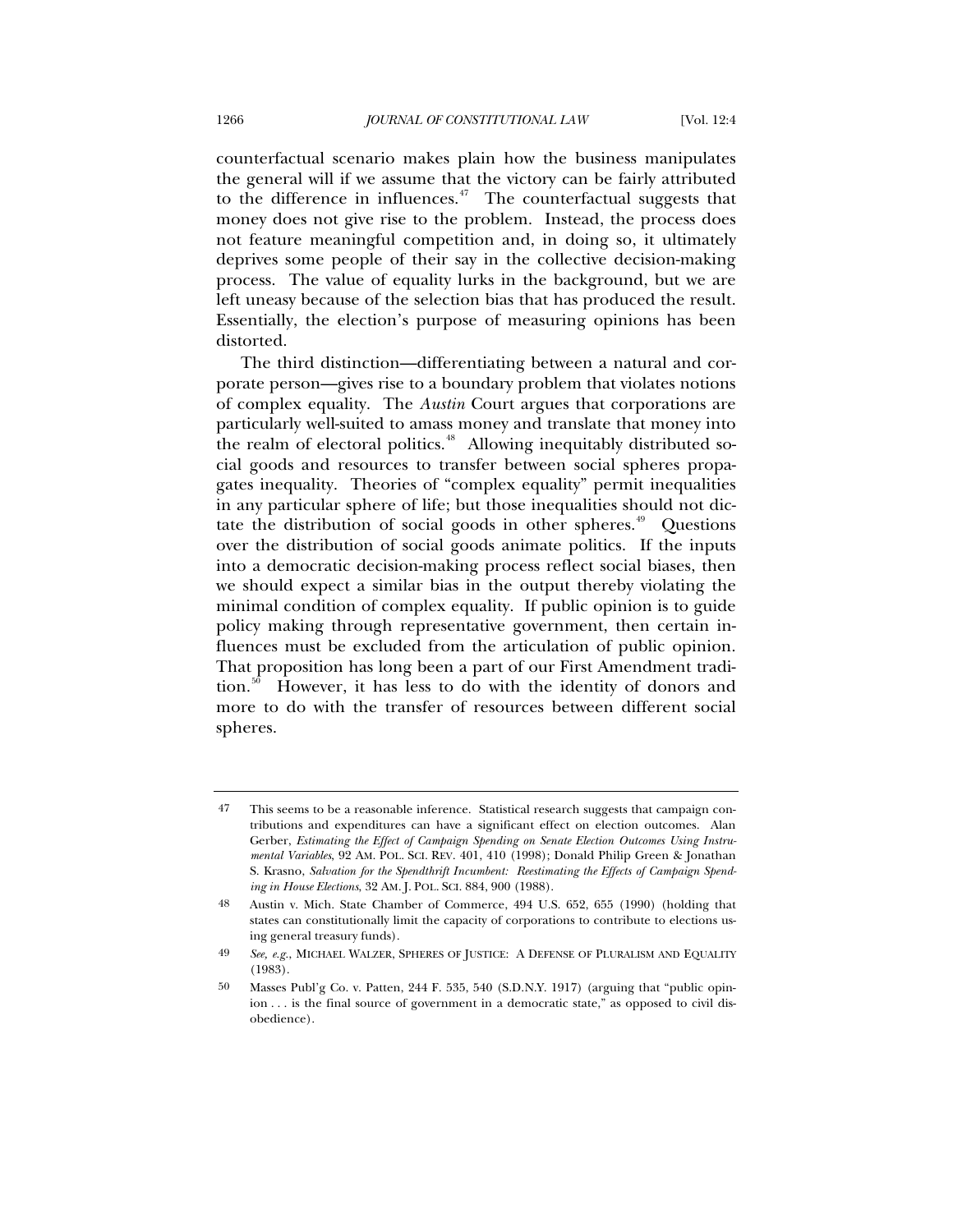counterfactual scenario makes plain how the business manipulates the general will if we assume that the victory can be fairly attributed to the difference in influences. $47$  The counterfactual suggests that money does not give rise to the problem. Instead, the process does not feature meaningful competition and, in doing so, it ultimately deprives some people of their say in the collective decision-making process. The value of equality lurks in the background, but we are left uneasy because of the selection bias that has produced the result. Essentially, the election's purpose of measuring opinions has been distorted.

The third distinction—differentiating between a natural and corporate person—gives rise to a boundary problem that violates notions of complex equality. The *Austin* Court argues that corporations are particularly well-suited to amass money and translate that money into the realm of electoral politics.<sup>[48](#page-9-1)</sup> Allowing inequitably distributed social goods and resources to transfer between social spheres propagates inequality. Theories of "complex equality" permit inequalities in any particular sphere of life; but those inequalities should not dic-tate the distribution of social goods in other spheres.<sup>[49](#page-9-2)</sup> Questions over the distribution of social goods animate politics. If the inputs into a democratic decision-making process reflect social biases, then we should expect a similar bias in the output thereby violating the minimal condition of complex equality. If public opinion is to guide policy making through representative government, then certain influences must be excluded from the articulation of public opinion. That proposition has long been a part of our First Amendment tradi-tion.<sup>[50](#page-9-3)</sup> However, it has less to do with the identity of donors and more to do with the transfer of resources between different social spheres.

<span id="page-9-0"></span><sup>47</sup> This seems to be a reasonable inference. Statistical research suggests that campaign contributions and expenditures can have a significant effect on election outcomes. Alan Gerber, *Estimating the Effect of Campaign Spending on Senate Election Outcomes Using Instrumental Variables*, 92 AM. POL. SCI. REV. 401, 410 (1998); Donald Philip Green & Jonathan S. Krasno, *Salvation for the Spendthrift Incumbent: Reestimating the Effects of Campaign Spending in House Elections*, 32 AM. J. POL. SCI. 884, 900 (1988).

<span id="page-9-1"></span><sup>48</sup> Austin v. Mich. State Chamber of Commerce, 494 U.S. 652, 655 (1990) (holding that states can constitutionally limit the capacity of corporations to contribute to elections using general treasury funds).

<span id="page-9-2"></span><sup>49</sup> *See, e.g.*, MICHAEL WALZER, SPHERES OF JUSTICE: A DEFENSE OF PLURALISM AND EQUALITY (1983).

<span id="page-9-3"></span><sup>50</sup> Masses Publ'g Co. v. Patten, 244 F. 535, 540 (S.D.N.Y. 1917) (arguing that "public opinion . . . is the final source of government in a democratic state," as opposed to civil disobedience).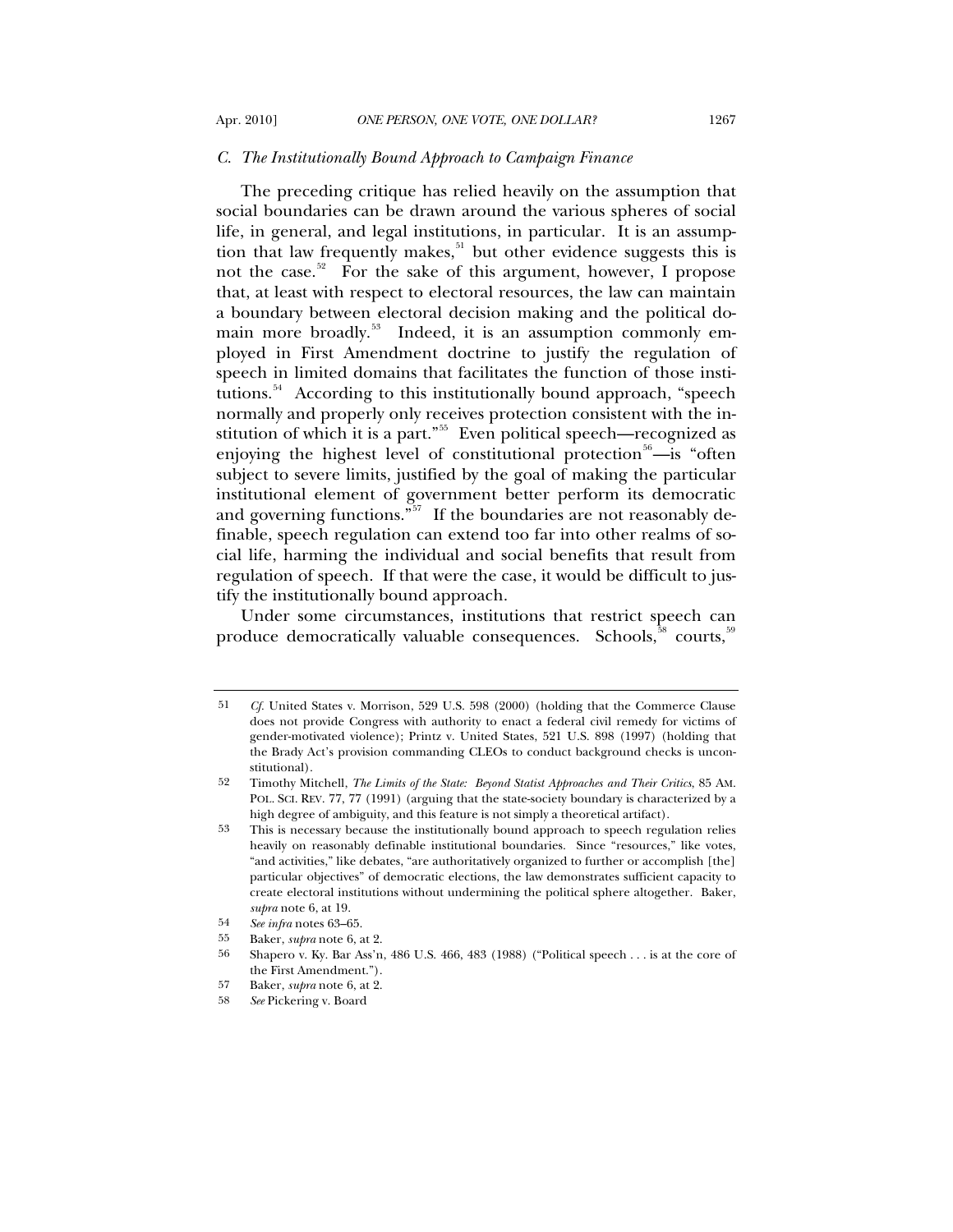### *C. The Institutionally Bound Approach to Campaign Finance*

The preceding critique has relied heavily on the assumption that social boundaries can be drawn around the various spheres of social life, in general, and legal institutions, in particular. It is an assumption that law frequently makes, $51$  but other evidence suggests this is not the case.<sup>[52](#page-10-1)</sup> For the sake of this argument, however, I propose that, at least with respect to electoral resources, the law can maintain a boundary between electoral decision making and the political do-main more broadly.<sup>[53](#page-10-2)</sup> Indeed, it is an assumption commonly employed in First Amendment doctrine to justify the regulation of speech in limited domains that facilitates the function of those insti-tutions.<sup>[54](#page-10-3)</sup> According to this institutionally bound approach, "speech normally and properly only receives protection consistent with the in-stitution of which it is a part."<sup>[55](#page-10-4)</sup> Even political speech—recognized as enjoying the highest level of constitutional protection<sup>[56](#page-10-5)</sup>—is "often subject to severe limits, justified by the goal of making the particular institutional element of government better perform its democratic and governing functions."<sup>[57](#page-10-6)</sup> If the boundaries are not reasonably definable, speech regulation can extend too far into other realms of social life, harming the individual and social benefits that result from regulation of speech. If that were the case, it would be difficult to justify the institutionally bound approach.

Under some circumstances, institutions that restrict speech can produce democratically valuable consequences. Schools,<sup>[58](#page-10-7)</sup> courts.<sup>[59](#page-10-8)</sup>

<span id="page-10-0"></span><sup>51</sup> *Cf.* United States v. Morrison, 529 U.S. 598 (2000) (holding that the Commerce Clause does not provide Congress with authority to enact a federal civil remedy for victims of gender-motivated violence); Printz v. United States, 521 U.S. 898 (1997) (holding that the Brady Act's provision commanding CLEOs to conduct background checks is unconstitutional).

<span id="page-10-8"></span><span id="page-10-1"></span><sup>52</sup> Timothy Mitchell, *The Limits of the State: Beyond Statist Approaches and Their Critics*, 85 AM. POL. SCI. REV. 77, 77 (1991) (arguing that the state-society boundary is characterized by a high degree of ambiguity, and this feature is not simply a theoretical artifact).

<span id="page-10-2"></span><sup>53</sup> This is necessary because the institutionally bound approach to speech regulation relies heavily on reasonably definable institutional boundaries. Since "resources," like votes, "and activities," like debates, "are authoritatively organized to further or accomplish [the] particular objectives" of democratic elections, the law demonstrates sufficient capacity to create electoral institutions without undermining the political sphere altogether. Baker, *supra* note 6, at 19.

<span id="page-10-3"></span><sup>54</sup> *See infra* notes 63–65.

<sup>55</sup> Baker, *supra* note 6, at 2.

<span id="page-10-5"></span><span id="page-10-4"></span><sup>56</sup> Shapero v. Ky. Bar Ass'n, 486 U.S. 466, 483 (1988) ("Political speech . . . is at the core of the First Amendment.").

<span id="page-10-7"></span><span id="page-10-6"></span><sup>57</sup> Baker, *supra* note 6, at 2.

<sup>58</sup> *See* Pickering v. Board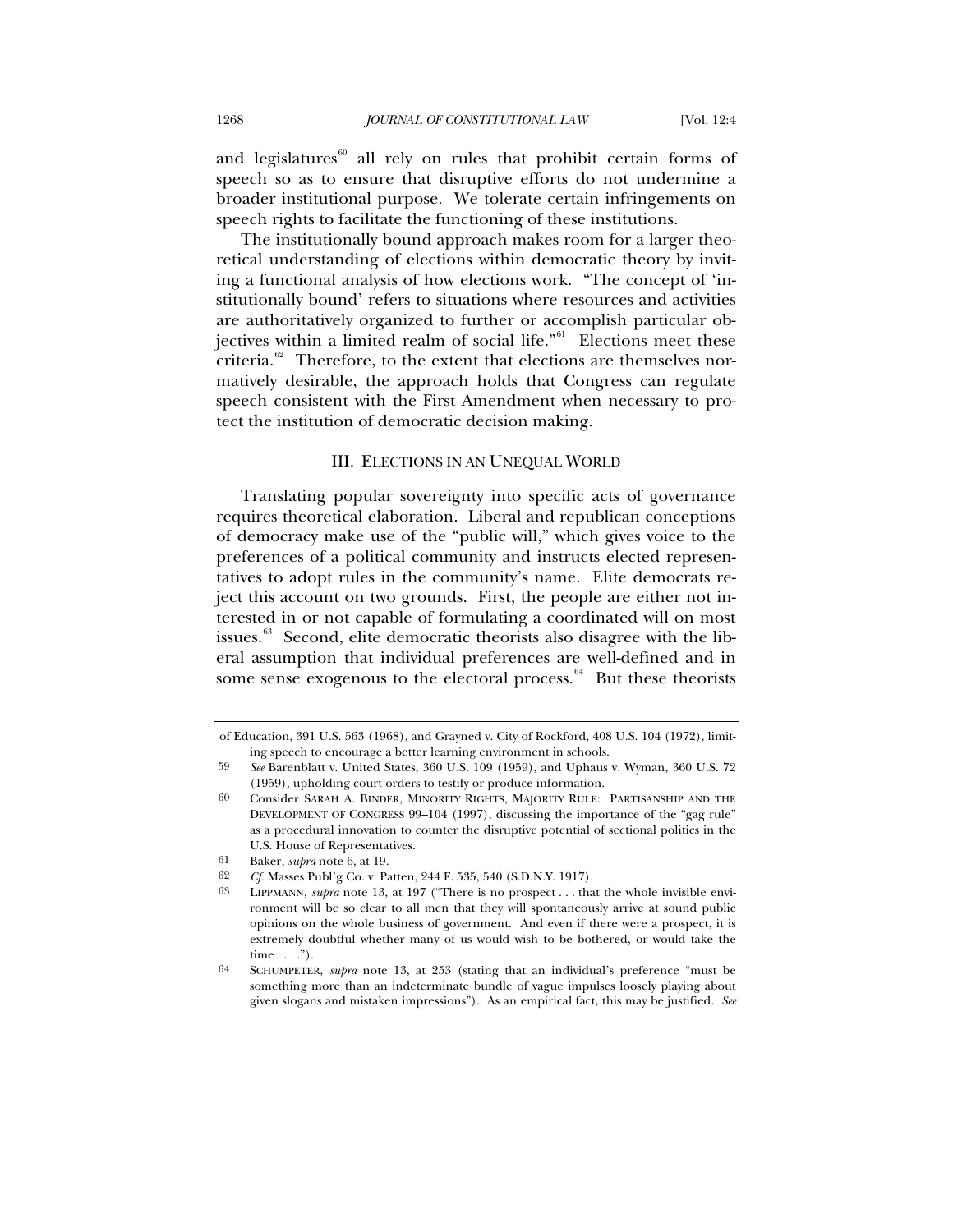and legislatures $60$  all rely on rules that prohibit certain forms of speech so as to ensure that disruptive efforts do not undermine a broader institutional purpose. We tolerate certain infringements on speech rights to facilitate the functioning of these institutions.

The institutionally bound approach makes room for a larger theoretical understanding of elections within democratic theory by inviting a functional analysis of how elections work. "The concept of 'institutionally bound' refers to situations where resources and activities are authoritatively organized to further or accomplish particular ob-jectives within a limited realm of social life."<sup>[61](#page-11-1)</sup> Elections meet these criteria. $62$  Therefore, to the extent that elections are themselves normatively desirable, the approach holds that Congress can regulate speech consistent with the First Amendment when necessary to protect the institution of democratic decision making.

# III. ELECTIONS IN AN UNEQUAL WORLD

Translating popular sovereignty into specific acts of governance requires theoretical elaboration. Liberal and republican conceptions of democracy make use of the "public will," which gives voice to the preferences of a political community and instructs elected representatives to adopt rules in the community's name. Elite democrats reject this account on two grounds. First, the people are either not interested in or not capable of formulating a coordinated will on most issues. $63$  Second, elite democratic theorists also disagree with the liberal assumption that individual preferences are well-defined and in some sense exogenous to the electoral process. $^{64}$  $^{64}$  $^{64}$  But these theorists

of Education, 391 U.S. 563 (1968), and Grayned v. City of Rockford, 408 U.S. 104 (1972), limiting speech to encourage a better learning environment in schools.

<sup>59</sup> *See* Barenblatt v. United States, 360 U.S. 109 (1959), and Uphaus v. Wyman, 360 U.S. 72 (1959), upholding court orders to testify or produce information.

<span id="page-11-0"></span><sup>60</sup> Consider SARAH A. BINDER, MINORITY RIGHTS, MAJORITY RULE: PARTISANSHIP AND THE DEVELOPMENT OF CONGRESS 99–104 (1997), discussing the importance of the "gag rule" as a procedural innovation to counter the disruptive potential of sectional politics in the U.S. House of Representatives.

<span id="page-11-2"></span><span id="page-11-1"></span><sup>61</sup> Baker, *supra* note 6, at 19.

<span id="page-11-3"></span><sup>62</sup> *Cf.* Masses Publ'g Co. v. Patten, 244 F. 535, 540 (S.D.N.Y. 1917).<br>63 I IPPMANN *subra* note 13, at 197 ("There is no prospect that

LIPPMANN, *supra* note 13, at 197 ("There is no prospect . . . that the whole invisible environment will be so clear to all men that they will spontaneously arrive at sound public opinions on the whole business of government. And even if there were a prospect, it is extremely doubtful whether many of us would wish to be bothered, or would take the time  $\dots$ .").

<span id="page-11-4"></span><sup>64</sup> SCHUMPETER, *supra* note 13, at 253 (stating that an individual's preference "must be something more than an indeterminate bundle of vague impulses loosely playing about given slogans and mistaken impressions"). As an empirical fact, this may be justified. *See*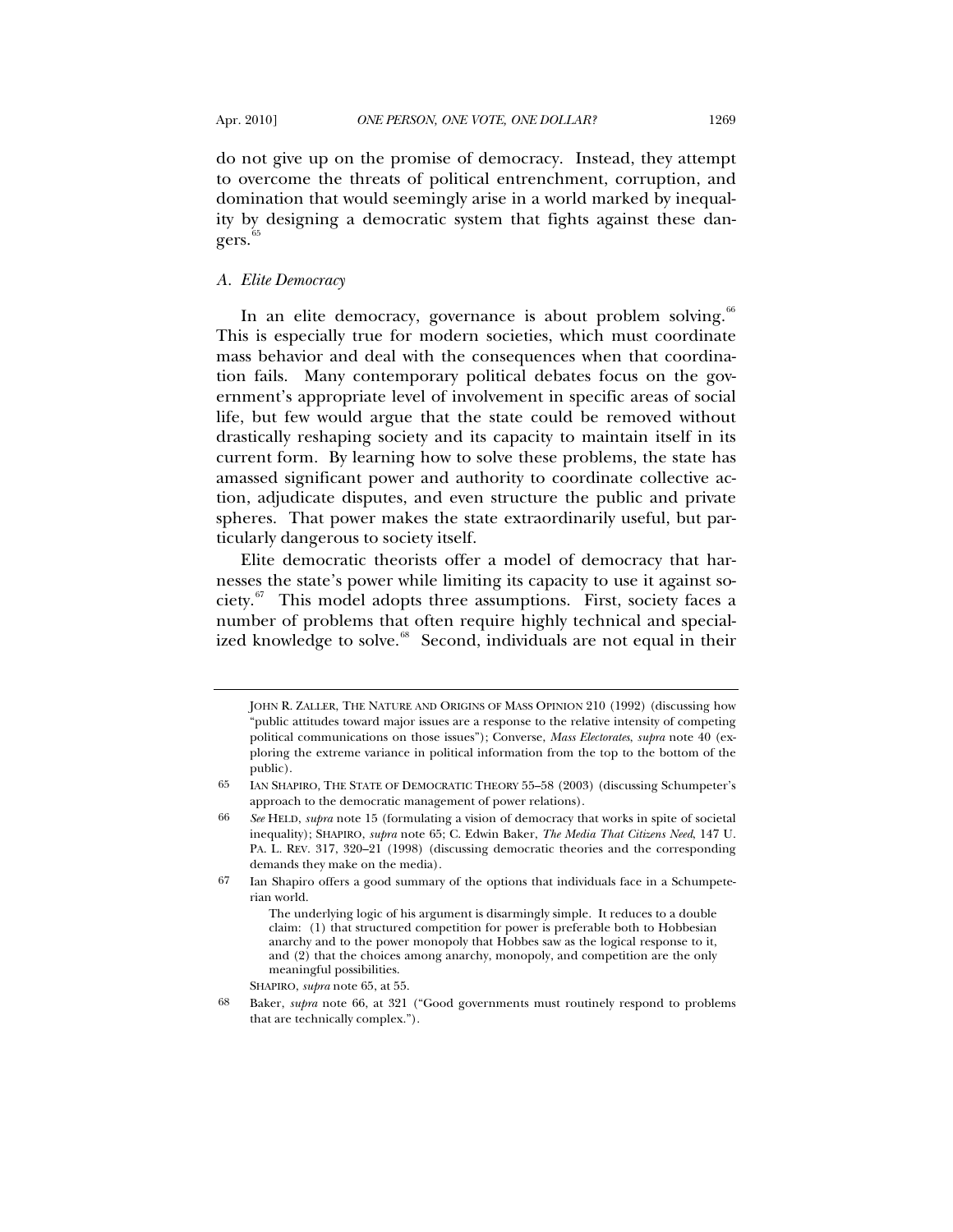do not give up on the promise of democracy. Instead, they attempt to overcome the threats of political entrenchment, corruption, and domination that would seemingly arise in a world marked by inequality by designing a democratic system that fights against these dan- $gers.<sup>65</sup>$  $gers.<sup>65</sup>$  $gers.<sup>65</sup>$ 

## *A. Elite Democracy*

In an elite democracy, governance is about problem solving.<sup>[66](#page-12-1)</sup> This is especially true for modern societies, which must coordinate mass behavior and deal with the consequences when that coordination fails. Many contemporary political debates focus on the government's appropriate level of involvement in specific areas of social life, but few would argue that the state could be removed without drastically reshaping society and its capacity to maintain itself in its current form. By learning how to solve these problems, the state has amassed significant power and authority to coordinate collective action, adjudicate disputes, and even structure the public and private spheres. That power makes the state extraordinarily useful, but particularly dangerous to society itself.

Elite democratic theorists offer a model of democracy that harnesses the state's power while limiting its capacity to use it against society.[67](#page-12-2) This model adopts three assumptions. First, society faces a number of problems that often require highly technical and special-ized knowledge to solve.<sup>[68](#page-12-3)</sup> Second, individuals are not equal in their

JOHN R. ZALLER, THE NATURE AND ORIGINS OF MASS OPINION 210 (1992) (discussing how "public attitudes toward major issues are a response to the relative intensity of competing political communications on those issues"); Converse, *Mass Electorates*, *supra* note 40 (exploring the extreme variance in political information from the top to the bottom of the public).

<span id="page-12-0"></span><sup>65</sup> IAN SHAPIRO, THE STATE OF DEMOCRATIC THEORY 55–58 (2003) (discussing Schumpeter's approach to the democratic management of power relations).

<span id="page-12-1"></span><sup>66</sup> *See* HELD, *supra* note 15 (formulating a vision of democracy that works in spite of societal inequality); SHAPIRO, *supra* note 65; C. Edwin Baker, *The Media That Citizens Need*, 147 U. PA. L. REV. 317, 320–21 (1998) (discussing democratic theories and the corresponding demands they make on the media).

<span id="page-12-2"></span><sup>67</sup> Ian Shapiro offers a good summary of the options that individuals face in a Schumpeterian world.

The underlying logic of his argument is disarmingly simple. It reduces to a double claim: (1) that structured competition for power is preferable both to Hobbesian anarchy and to the power monopoly that Hobbes saw as the logical response to it, and (2) that the choices among anarchy, monopoly, and competition are the only meaningful possibilities.

SHAPIRO, *supra* note 65, at 55.

<span id="page-12-3"></span><sup>68</sup> Baker, *supra* note 66, at 321 ("Good governments must routinely respond to problems that are technically complex.").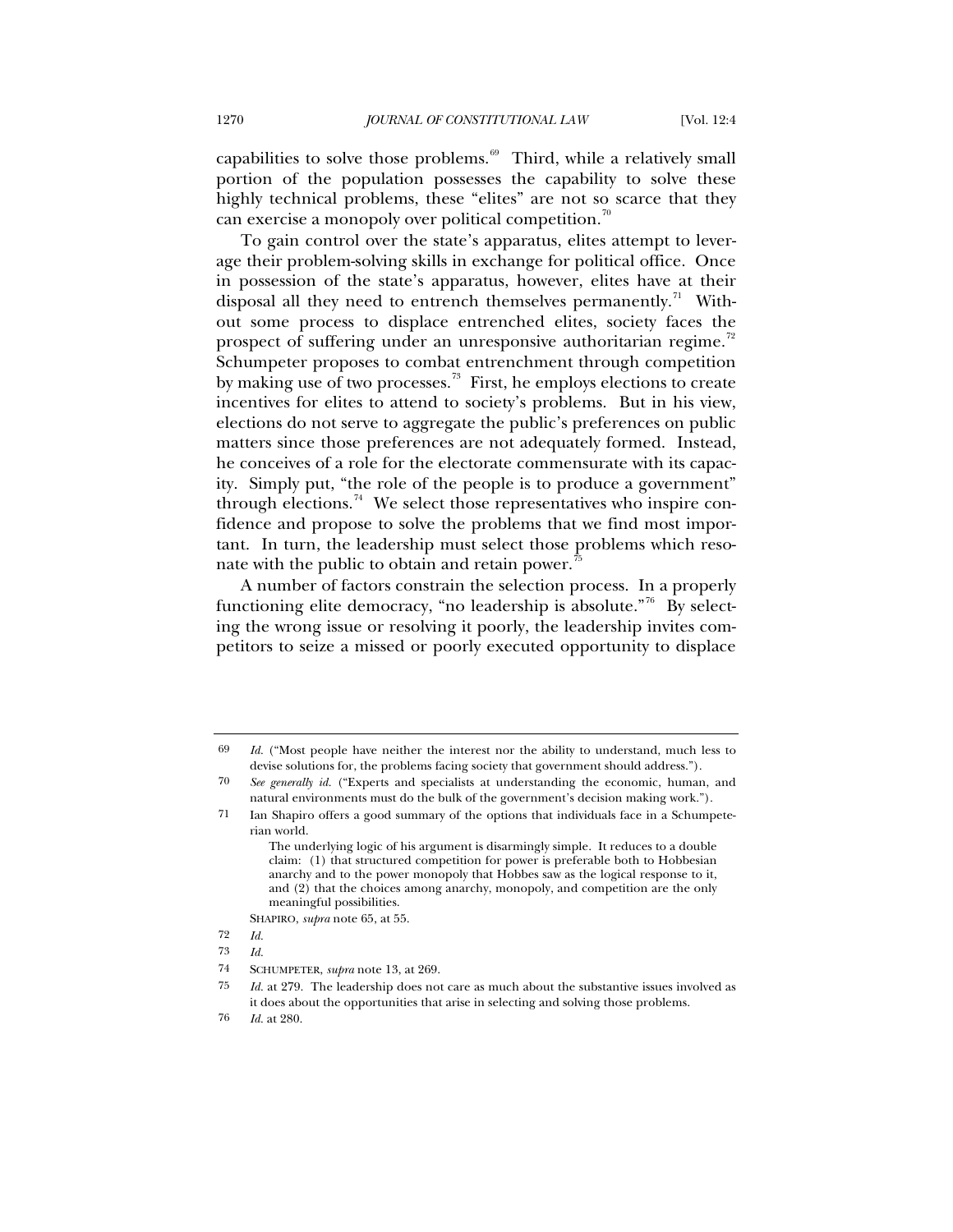capabilities to solve those problems. $69$  Third, while a relatively small portion of the population possesses the capability to solve these highly technical problems, these "elites" are not so scarce that they can exercise a monopoly over political competition.<sup>[70](#page-13-1)</sup>

To gain control over the state's apparatus, elites attempt to leverage their problem-solving skills in exchange for political office. Once in possession of the state's apparatus, however, elites have at their disposal all they need to entrench themselves permanently.<sup>[71](#page-13-2)</sup> Without some process to displace entrenched elites, society faces the prospect of suffering under an unresponsive authoritarian regime.<sup>[72](#page-13-3)</sup> Schumpeter proposes to combat entrenchment through competition by making use of two processes.<sup>[73](#page-13-4)</sup> First, he employs elections to create incentives for elites to attend to society's problems. But in his view, elections do not serve to aggregate the public's preferences on public matters since those preferences are not adequately formed. Instead, he conceives of a role for the electorate commensurate with its capacity. Simply put, "the role of the people is to produce a government" through elections.<sup>[74](#page-13-5)</sup> We select those representatives who inspire confidence and propose to solve the problems that we find most important. In turn, the leadership must select those problems which reso-nate with the public to obtain and retain power.<sup>[75](#page-13-6)</sup>

A number of factors constrain the selection process. In a properly functioning elite democracy, "no leadership is absolute."<sup>[76](#page-13-7)</sup> By selecting the wrong issue or resolving it poorly, the leadership invites competitors to seize a missed or poorly executed opportunity to displace

<span id="page-13-0"></span><sup>69</sup> *Id.* ("Most people have neither the interest nor the ability to understand, much less to devise solutions for, the problems facing society that government should address.").

<span id="page-13-1"></span><sup>70</sup> *See generally id.* ("Experts and specialists at understanding the economic, human, and natural environments must do the bulk of the government's decision making work.").

<span id="page-13-2"></span><sup>71</sup> Ian Shapiro offers a good summary of the options that individuals face in a Schumpeterian world.

The underlying logic of his argument is disarmingly simple. It reduces to a double claim: (1) that structured competition for power is preferable both to Hobbesian anarchy and to the power monopoly that Hobbes saw as the logical response to it, and (2) that the choices among anarchy, monopoly, and competition are the only meaningful possibilities.

SHAPIRO, *supra* note 65, at 55.

<span id="page-13-3"></span><sup>72</sup> *Id.*

<span id="page-13-4"></span><sup>73</sup> *Id.*

<span id="page-13-5"></span><sup>74</sup> SCHUMPETER, *supra* note 13, at 269.

<span id="page-13-6"></span><sup>75</sup> *Id.* at 279. The leadership does not care as much about the substantive issues involved as it does about the opportunities that arise in selecting and solving those problems.

<span id="page-13-7"></span><sup>76</sup> *Id.* at 280.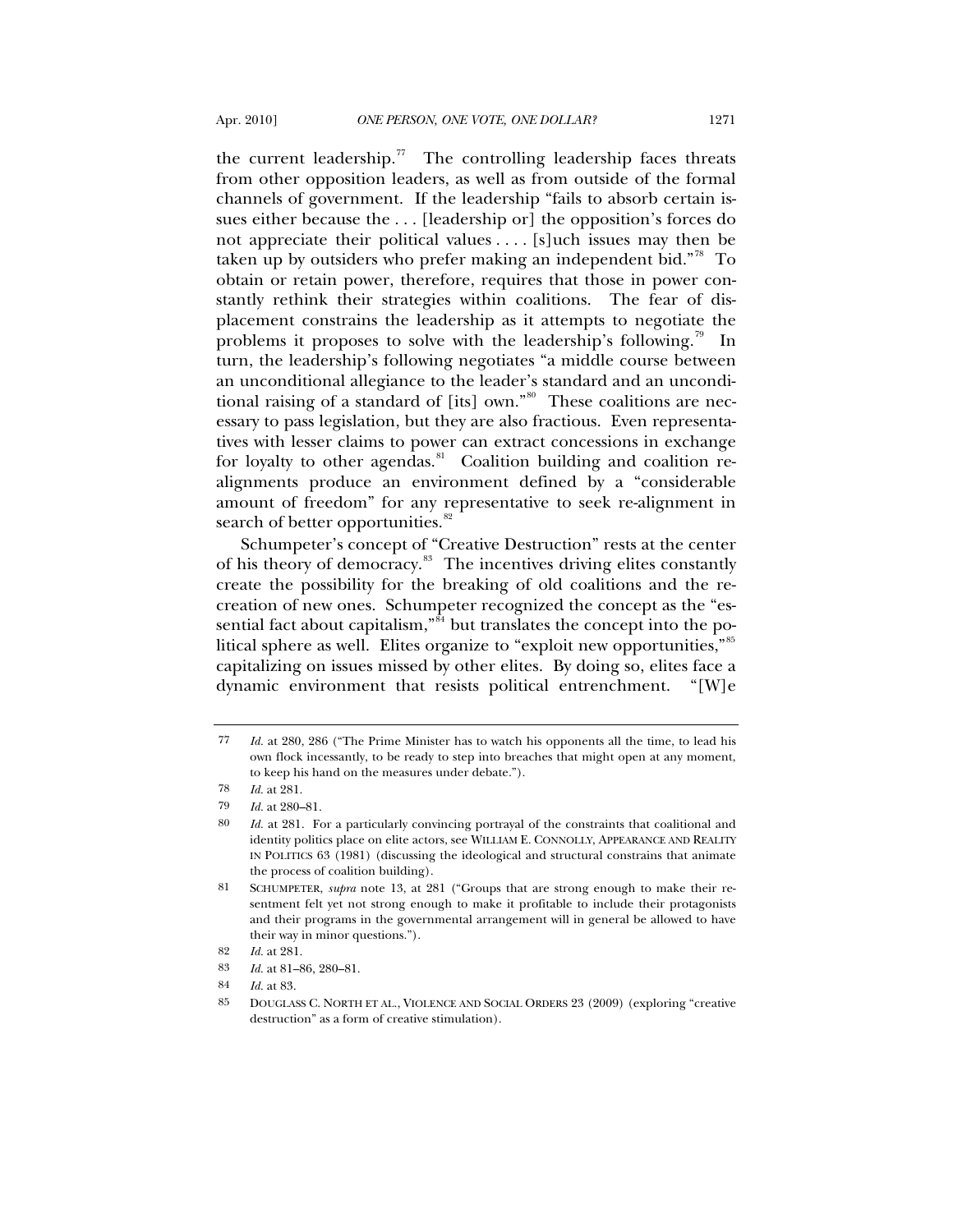the current leadership.<sup>[77](#page-14-0)</sup> The controlling leadership faces threats from other opposition leaders, as well as from outside of the formal channels of government. If the leadership "fails to absorb certain issues either because the . . . [leadership or] the opposition's forces do not appreciate their political values . . . . [s]uch issues may then be taken up by outsiders who prefer making an independent bid."<sup>[78](#page-14-1)</sup> To obtain or retain power, therefore, requires that those in power constantly rethink their strategies within coalitions. The fear of displacement constrains the leadership as it attempts to negotiate the problems it proposes to solve with the leadership's following.<sup>[79](#page-14-2)</sup> In turn, the leadership's following negotiates "a middle course between an unconditional allegiance to the leader's standard and an unconditional raising of a standard of [its] own." $80$  These coalitions are necessary to pass legislation, but they are also fractious. Even representatives with lesser claims to power can extract concessions in exchange for loyalty to other agendas. $81$  Coalition building and coalition realignments produce an environment defined by a "considerable amount of freedom" for any representative to seek re-alignment in search of better opportunities.<sup>[82](#page-14-5)</sup>

Schumpeter's concept of "Creative Destruction" rests at the center of his theory of democracy.<sup>[83](#page-14-6)</sup> The incentives driving elites constantly create the possibility for the breaking of old coalitions and the recreation of new ones. Schumpeter recognized the concept as the "essential fact about capitalism," $\frac{84}{10}$  $\frac{84}{10}$  $\frac{84}{10}$  but translates the concept into the po-litical sphere as well. Elites organize to "exploit new opportunities,"<sup>[85](#page-14-8)</sup> capitalizing on issues missed by other elites. By doing so, elites face a dynamic environment that resists political entrenchment. "[W]e

<span id="page-14-0"></span><sup>77</sup> *Id.* at 280, 286 ("The Prime Minister has to watch his opponents all the time, to lead his own flock incessantly, to be ready to step into breaches that might open at any moment, to keep his hand on the measures under debate.").

<sup>78</sup> *Id.* at 281.

<span id="page-14-1"></span><sup>79</sup> *Id.* at 280–81.

<span id="page-14-3"></span><span id="page-14-2"></span><sup>80</sup> *Id.* at 281. For a particularly convincing portrayal of the constraints that coalitional and identity politics place on elite actors, see WILLIAM E. CONNOLLY, APPEARANCE AND REALITY IN POLITICS 63 (1981) (discussing the ideological and structural constrains that animate the process of coalition building).

<span id="page-14-4"></span><sup>81</sup> SCHUMPETER, *supra* note 13, at 281 ("Groups that are strong enough to make their resentment felt yet not strong enough to make it profitable to include their protagonists and their programs in the governmental arrangement will in general be allowed to have their way in minor questions.").

<span id="page-14-6"></span><span id="page-14-5"></span><sup>82</sup> *Id.* at 281.

<sup>83</sup> *Id.* at 81–86, 280–81.

<span id="page-14-7"></span><sup>84</sup> *Id.* at 83.

<span id="page-14-8"></span><sup>85</sup> DOUGLASS C. NORTH ET AL., VIOLENCE AND SOCIAL ORDERS 23 (2009) (exploring "creative destruction" as a form of creative stimulation).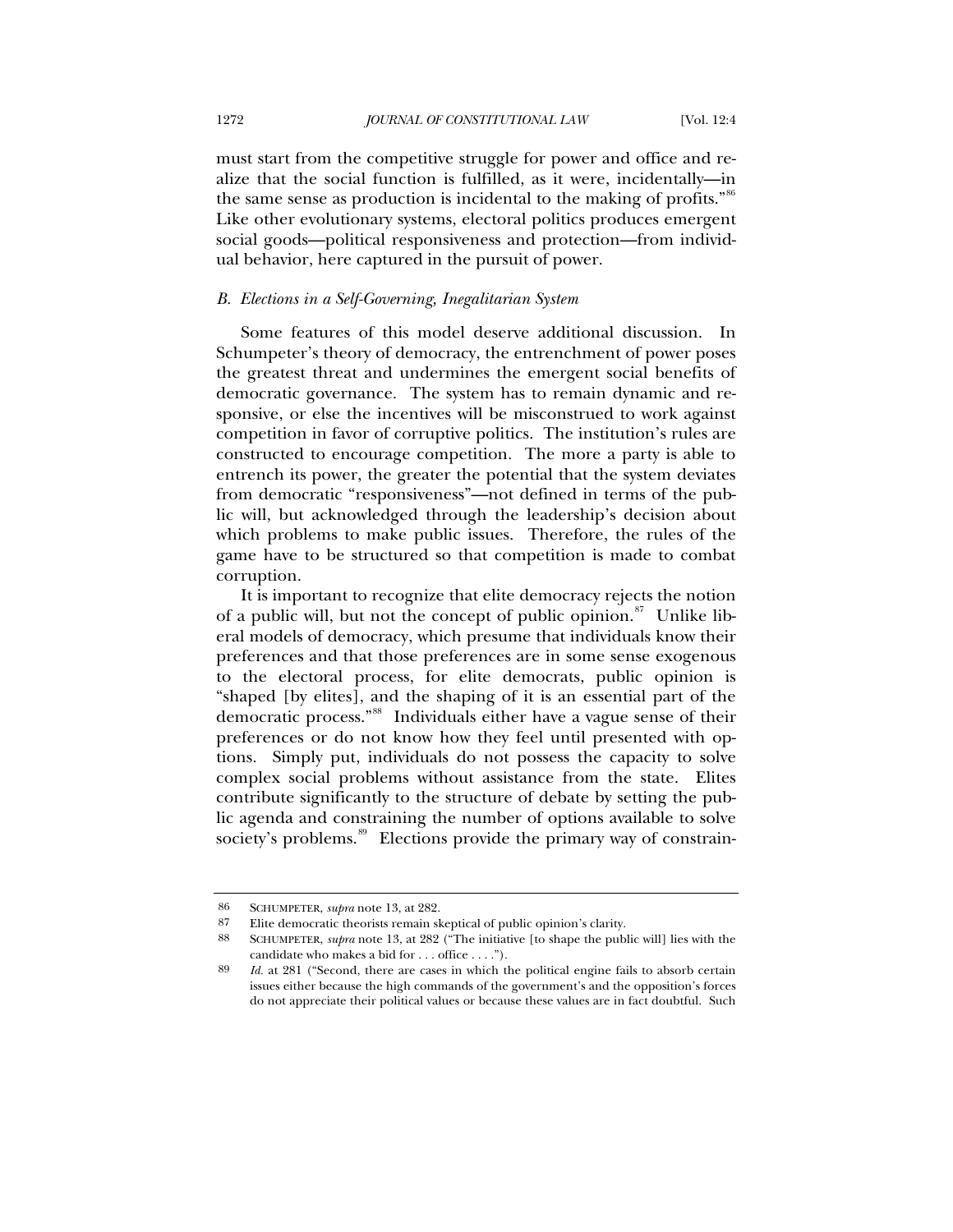must start from the competitive struggle for power and office and realize that the social function is fulfilled, as it were, incidentally—in the same sense as production is incidental to the making of profits."<sup>[86](#page-15-0)</sup> Like other evolutionary systems, electoral politics produces emergent social goods—political responsiveness and protection—from individual behavior, here captured in the pursuit of power.

## *B. Elections in a Self-Governing, Inegalitarian System*

Some features of this model deserve additional discussion. In Schumpeter's theory of democracy, the entrenchment of power poses the greatest threat and undermines the emergent social benefits of democratic governance. The system has to remain dynamic and responsive, or else the incentives will be misconstrued to work against competition in favor of corruptive politics. The institution's rules are constructed to encourage competition. The more a party is able to entrench its power, the greater the potential that the system deviates from democratic "responsiveness"—not defined in terms of the public will, but acknowledged through the leadership's decision about which problems to make public issues. Therefore, the rules of the game have to be structured so that competition is made to combat corruption.

It is important to recognize that elite democracy rejects the notion of a public will, but not the concept of public opinion. $s^2$  Unlike liberal models of democracy, which presume that individuals know their preferences and that those preferences are in some sense exogenous to the electoral process, for elite democrats, public opinion is "shaped [by elites], and the shaping of it is an essential part of the democratic process."<sup>[88](#page-15-2)</sup> Individuals either have a vague sense of their preferences or do not know how they feel until presented with options. Simply put, individuals do not possess the capacity to solve complex social problems without assistance from the state. Elites contribute significantly to the structure of debate by setting the public agenda and constraining the number of options available to solve society's problems.<sup>[89](#page-15-3)</sup> Elections provide the primary way of constrain-

<span id="page-15-0"></span><sup>86</sup> SCHUMPETER, *supra* note 13, at 282.

<span id="page-15-2"></span><span id="page-15-1"></span><sup>87</sup> Elite democratic theorists remain skeptical of public opinion's clarity.<br>88 SCHUMPETER subra pote 13 at 989 ("The initiative Ito shape the pub

<sup>88</sup> SCHUMPETER, *supra* note 13, at 282 ("The initiative [to shape the public will] lies with the candidate who makes a bid for . . . office . . . .").

<span id="page-15-3"></span><sup>89</sup> *Id.* at 281 ("Second, there are cases in which the political engine fails to absorb certain issues either because the high commands of the government's and the opposition's forces do not appreciate their political values or because these values are in fact doubtful. Such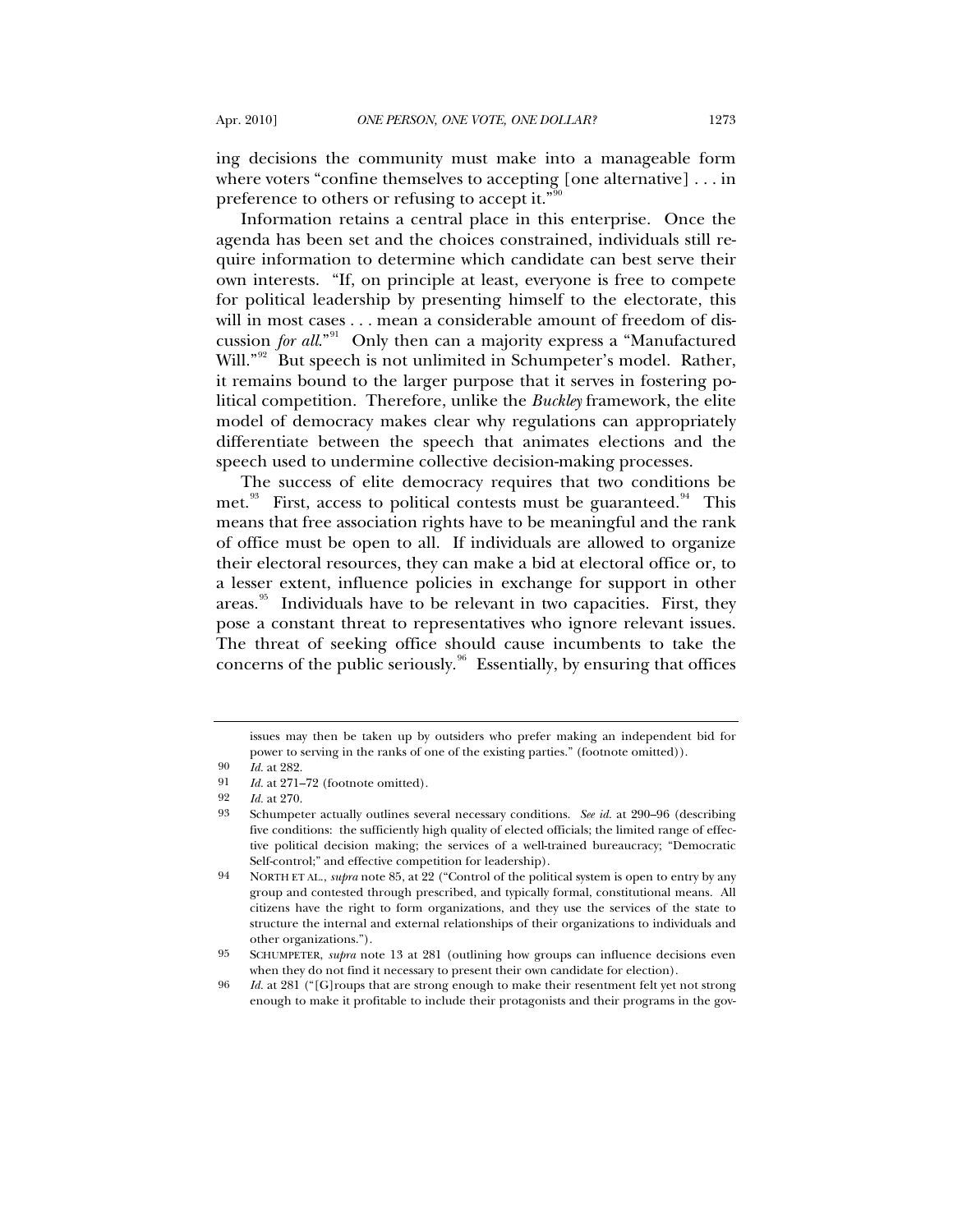ing decisions the community must make into a manageable form where voters "confine themselves to accepting [one alternative] . . . in preference to others or refusing to accept it."<sup>9</sup>

Information retains a central place in this enterprise. Once the agenda has been set and the choices constrained, individuals still require information to determine which candidate can best serve their own interests. "If, on principle at least, everyone is free to compete for political leadership by presenting himself to the electorate, this will in most cases . . . mean a considerable amount of freedom of discussion *for all*.<sup>"[91](#page-16-1)</sup> Only then can a majority express a "Manufactured" Will."<sup>[92](#page-16-2)</sup> But speech is not unlimited in Schumpeter's model. Rather, it remains bound to the larger purpose that it serves in fostering political competition. Therefore, unlike the *Buckley* framework, the elite model of democracy makes clear why regulations can appropriately differentiate between the speech that animates elections and the speech used to undermine collective decision-making processes.

The success of elite democracy requires that two conditions be met. $93$  First, access to political contests must be guaranteed. <sup>[94](#page-16-4)</sup> This means that free association rights have to be meaningful and the rank of office must be open to all. If individuals are allowed to organize their electoral resources, they can make a bid at electoral office or, to a lesser extent, influence policies in exchange for support in other areas.<sup>[95](#page-16-5)</sup> Individuals have to be relevant in two capacities. First, they pose a constant threat to representatives who ignore relevant issues. The threat of seeking office should cause incumbents to take the concerns of the public seriously. $96$  Essentially, by ensuring that offices

issues may then be taken up by outsiders who prefer making an independent bid for power to serving in the ranks of one of the existing parties." (footnote omitted)).

<sup>90</sup> *Id.* at 282.

<span id="page-16-3"></span><span id="page-16-2"></span><span id="page-16-1"></span><span id="page-16-0"></span><sup>91</sup> *Id.* at 271–72 (footnote omitted).<br>92 *Id.* at 270.

<sup>92</sup> *Id.* at 270.

<sup>93</sup> Schumpeter actually outlines several necessary conditions. *See id.* at 290–96 (describing five conditions: the sufficiently high quality of elected officials; the limited range of effective political decision making; the services of a well-trained bureaucracy; "Democratic Self-control;" and effective competition for leadership).

<span id="page-16-4"></span><sup>94</sup> NORTH ET AL., *supra* note 85, at 22 ("Control of the political system is open to entry by any group and contested through prescribed, and typically formal, constitutional means. All citizens have the right to form organizations, and they use the services of the state to structure the internal and external relationships of their organizations to individuals and other organizations.").

<span id="page-16-5"></span><sup>95</sup> SCHUMPETER, *supra* note 13 at 281 (outlining how groups can influence decisions even when they do not find it necessary to present their own candidate for election).

<span id="page-16-6"></span><sup>96</sup> *Id.* at 281 ("[G]roups that are strong enough to make their resentment felt yet not strong enough to make it profitable to include their protagonists and their programs in the gov-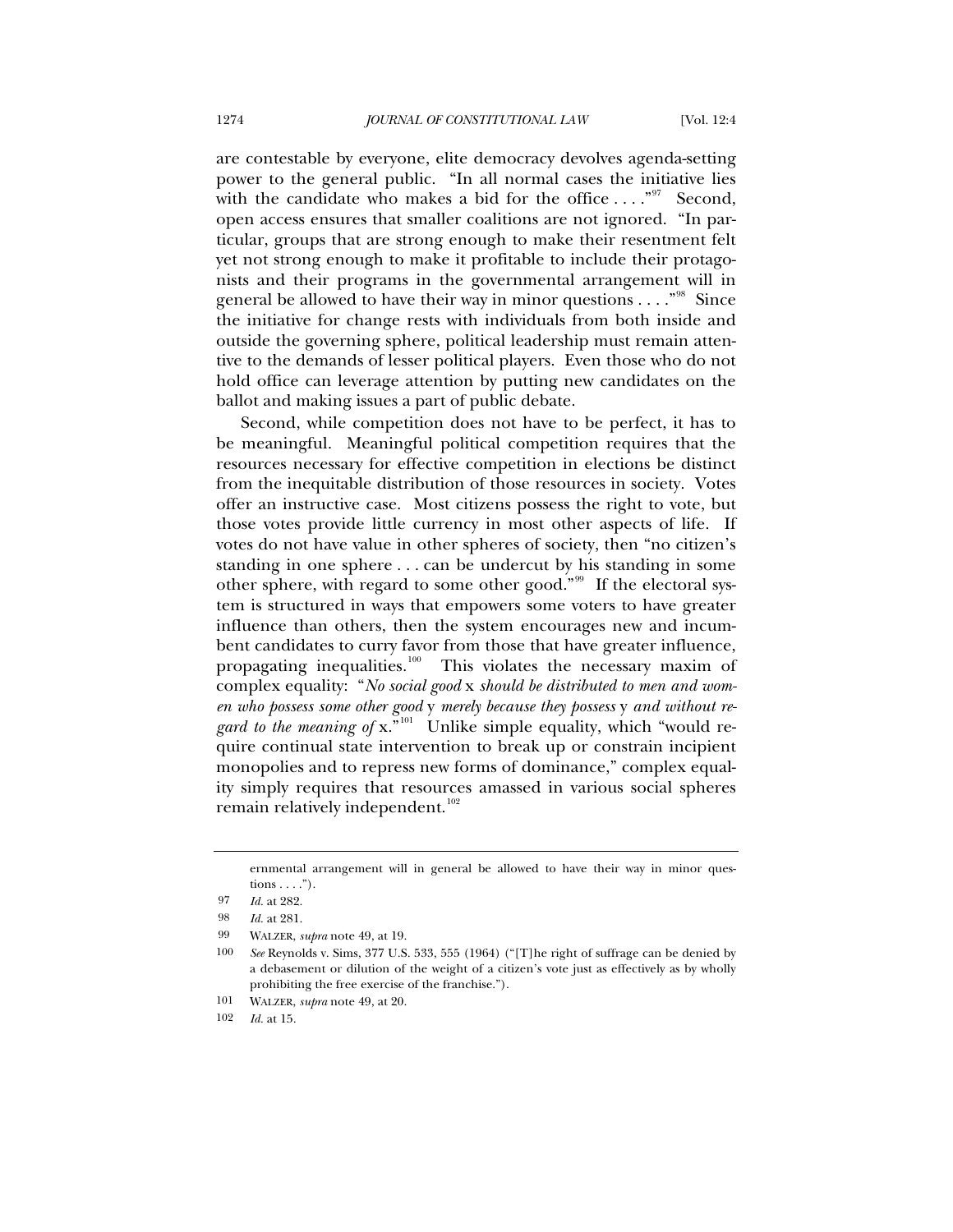are contestable by everyone, elite democracy devolves agenda-setting power to the general public. "In all normal cases the initiative lies with the candidate who makes a bid for the office  $\dots$ ."<sup>[97](#page-17-0)</sup> Second, open access ensures that smaller coalitions are not ignored. "In particular, groups that are strong enough to make their resentment felt yet not strong enough to make it profitable to include their protagonists and their programs in the governmental arrangement will in general be allowed to have their way in minor questions  $\dots$ ."<sup>[98](#page-17-1)</sup> Since the initiative for change rests with individuals from both inside and outside the governing sphere, political leadership must remain attentive to the demands of lesser political players. Even those who do not hold office can leverage attention by putting new candidates on the ballot and making issues a part of public debate.

Second, while competition does not have to be perfect, it has to be meaningful. Meaningful political competition requires that the resources necessary for effective competition in elections be distinct from the inequitable distribution of those resources in society. Votes offer an instructive case. Most citizens possess the right to vote, but those votes provide little currency in most other aspects of life. If votes do not have value in other spheres of society, then "no citizen's standing in one sphere . . . can be undercut by his standing in some other sphere, with regard to some other good."<sup>[99](#page-17-2)</sup> If the electoral system is structured in ways that empowers some voters to have greater influence than others, then the system encourages new and incumbent candidates to curry favor from those that have greater influence, propagating inequalities.<sup>[100](#page-17-3)</sup> This violates the necessary maxim of complex equality: "*No social good* x *should be distributed to men and women who possess some other good* y *merely because they possess* y *and without regard to the meaning of x.*<sup>"[101](#page-17-4)</sup> Unlike simple equality, which "would require continual state intervention to break up or constrain incipient monopolies and to repress new forms of dominance," complex equality simply requires that resources amassed in various social spheres remain relatively independent.<sup>[102](#page-17-5)</sup>

ernmental arrangement will in general be allowed to have their way in minor questions  $\dots$ .").

<span id="page-17-0"></span><sup>97</sup> *Id.* at 282.

<span id="page-17-1"></span><sup>98</sup> *Id.* at 281.

<span id="page-17-2"></span><sup>99</sup> WALZER, *supra* note 49, at 19.

<span id="page-17-3"></span><sup>100</sup> *See* Reynolds v. Sims, 377 U.S. 533, 555 (1964) ("[T]he right of suffrage can be denied by a debasement or dilution of the weight of a citizen's vote just as effectively as by wholly prohibiting the free exercise of the franchise.").

<span id="page-17-4"></span><sup>101</sup> WALZER, *supra* note 49, at 20.

<span id="page-17-5"></span><sup>102</sup> *Id.* at 15.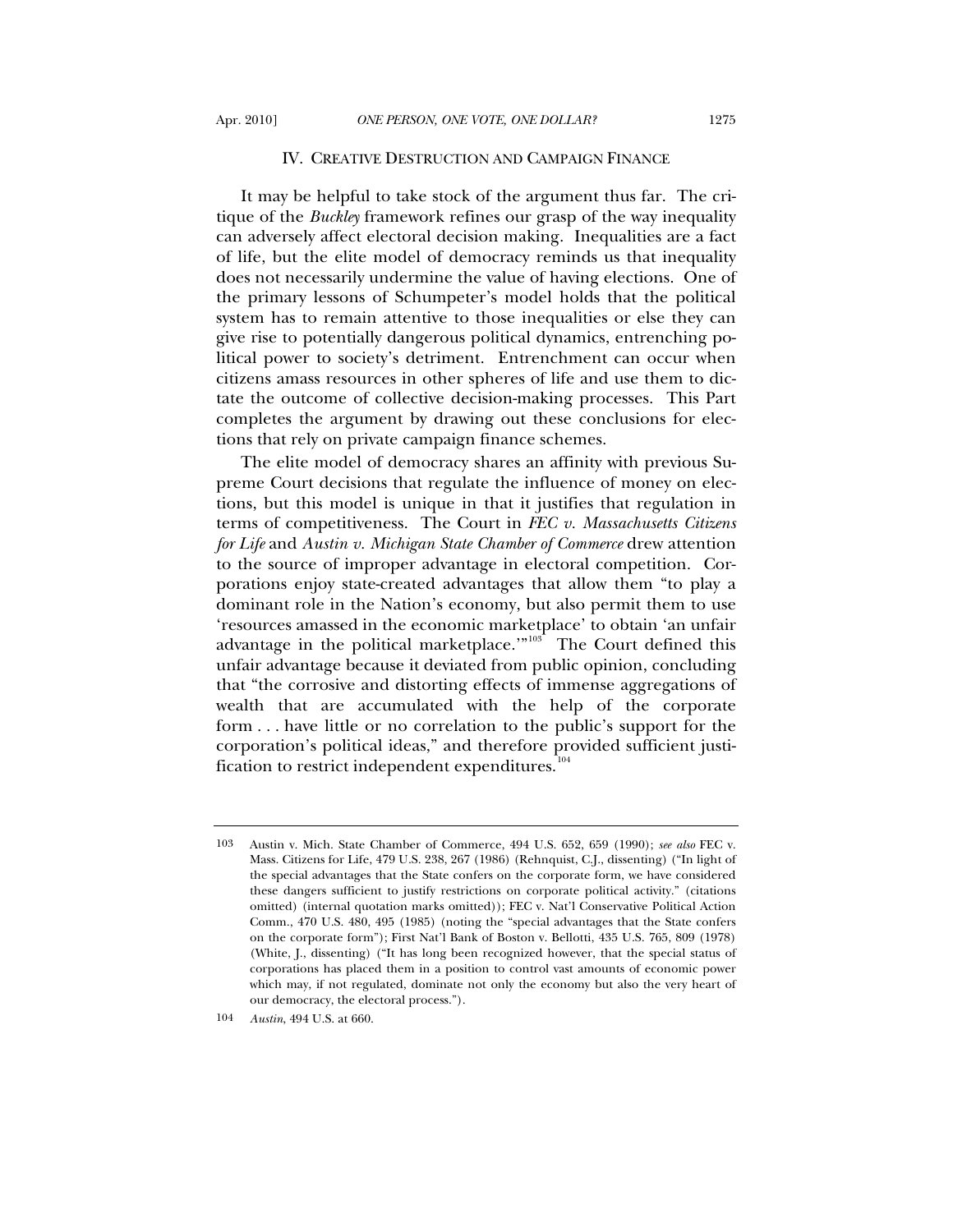#### IV. CREATIVE DESTRUCTION AND CAMPAIGN FINANCE

It may be helpful to take stock of the argument thus far. The critique of the *Buckley* framework refines our grasp of the way inequality can adversely affect electoral decision making. Inequalities are a fact of life, but the elite model of democracy reminds us that inequality does not necessarily undermine the value of having elections. One of the primary lessons of Schumpeter's model holds that the political system has to remain attentive to those inequalities or else they can give rise to potentially dangerous political dynamics, entrenching political power to society's detriment. Entrenchment can occur when citizens amass resources in other spheres of life and use them to dictate the outcome of collective decision-making processes. This Part completes the argument by drawing out these conclusions for elections that rely on private campaign finance schemes.

The elite model of democracy shares an affinity with previous Supreme Court decisions that regulate the influence of money on elections, but this model is unique in that it justifies that regulation in terms of competitiveness. The Court in *FEC v. Massachusetts Citizens for Life* and *Austin v. Michigan State Chamber of Commerce* drew attention to the source of improper advantage in electoral competition. Corporations enjoy state-created advantages that allow them "to play a dominant role in the Nation's economy, but also permit them to use 'resources amassed in the economic marketplace' to obtain 'an unfair advantage in the political marketplace.<sup>" $103$ </sup> The Court defined this unfair advantage because it deviated from public opinion, concluding that "the corrosive and distorting effects of immense aggregations of wealth that are accumulated with the help of the corporate form . . . have little or no correlation to the public's support for the corporation's political ideas," and therefore provided sufficient justification to restrict independent expenditures. $104$ 

<span id="page-18-0"></span><sup>103</sup> Austin v. Mich. State Chamber of Commerce, 494 U.S. 652, 659 (1990); *see also* FEC v. Mass. Citizens for Life, 479 U.S. 238, 267 (1986) (Rehnquist, C.J., dissenting) ("In light of the special advantages that the State confers on the corporate form, we have considered these dangers sufficient to justify restrictions on corporate political activity." (citations omitted) (internal quotation marks omitted)); FEC v. Nat'l Conservative Political Action Comm., 470 U.S. 480, 495 (1985) (noting the "special advantages that the State confers on the corporate form"); First Nat'l Bank of Boston v. Bellotti, 435 U.S. 765, 809 (1978) (White, J., dissenting) ("It has long been recognized however, that the special status of corporations has placed them in a position to control vast amounts of economic power which may, if not regulated, dominate not only the economy but also the very heart of our democracy, the electoral process.").

<span id="page-18-1"></span><sup>104</sup> *Austin*, 494 U.S. at 660.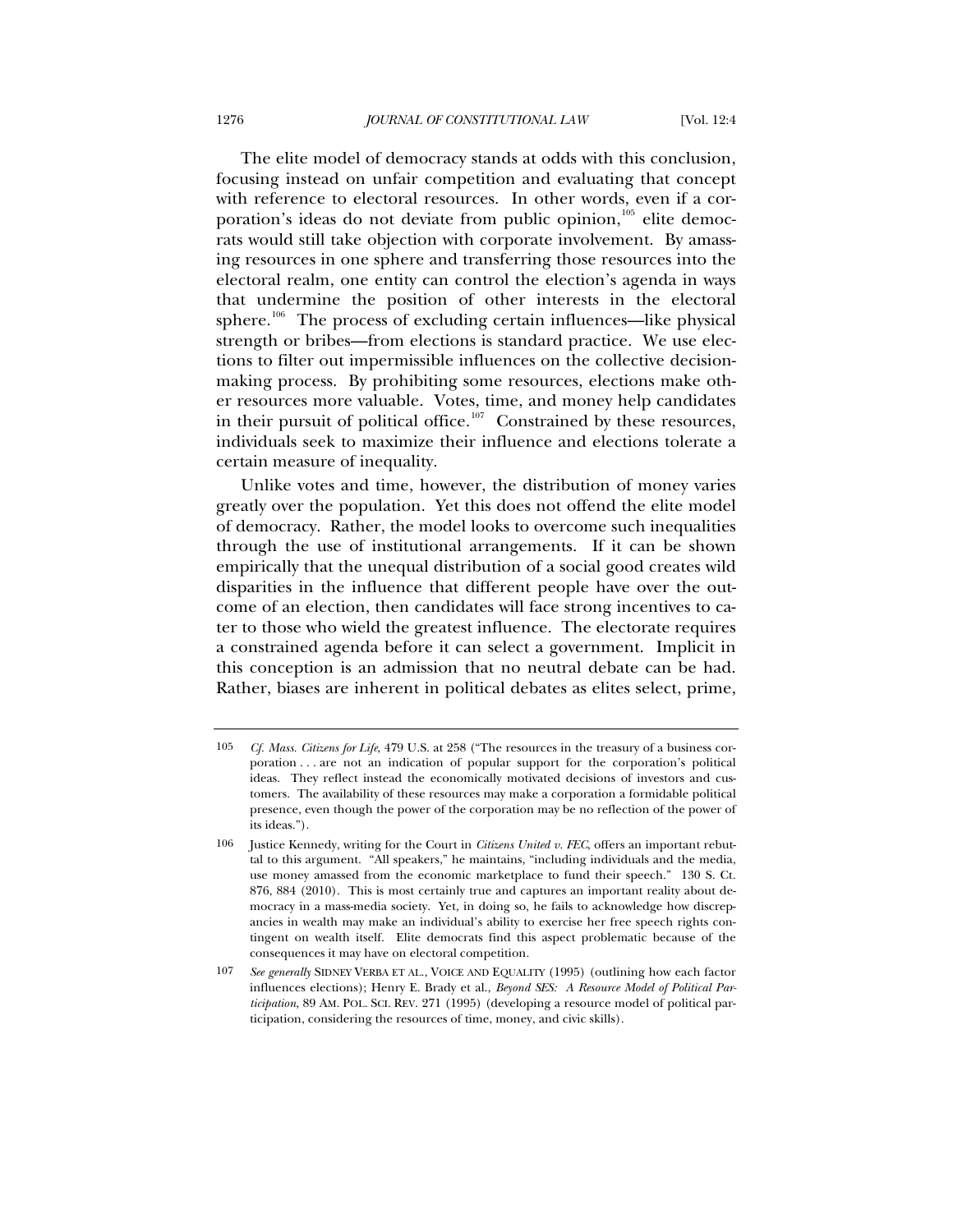The elite model of democracy stands at odds with this conclusion, focusing instead on unfair competition and evaluating that concept with reference to electoral resources. In other words, even if a corporation's ideas do not deviate from public opinion, $105$  elite democrats would still take objection with corporate involvement. By amassing resources in one sphere and transferring those resources into the electoral realm, one entity can control the election's agenda in ways that undermine the position of other interests in the electoral sphere.<sup>[106](#page-19-1)</sup> The process of excluding certain influences—like physical strength or bribes—from elections is standard practice. We use elections to filter out impermissible influences on the collective decisionmaking process. By prohibiting some resources, elections make other resources more valuable. Votes, time, and money help candidates in their pursuit of political office.<sup>[107](#page-19-2)</sup> Constrained by these resources, individuals seek to maximize their influence and elections tolerate a certain measure of inequality.

Unlike votes and time, however, the distribution of money varies greatly over the population. Yet this does not offend the elite model of democracy. Rather, the model looks to overcome such inequalities through the use of institutional arrangements. If it can be shown empirically that the unequal distribution of a social good creates wild disparities in the influence that different people have over the outcome of an election, then candidates will face strong incentives to cater to those who wield the greatest influence. The electorate requires a constrained agenda before it can select a government. Implicit in this conception is an admission that no neutral debate can be had. Rather, biases are inherent in political debates as elites select, prime,

<span id="page-19-0"></span><sup>105</sup> *Cf. Mass. Citizens for Life*, 479 U.S. at 258 ("The resources in the treasury of a business corporation . . . are not an indication of popular support for the corporation's political ideas. They reflect instead the economically motivated decisions of investors and customers. The availability of these resources may make a corporation a formidable political presence, even though the power of the corporation may be no reflection of the power of its ideas.").

<span id="page-19-1"></span><sup>106</sup> Justice Kennedy, writing for the Court in *Citizens United v. FEC*, offers an important rebuttal to this argument. "All speakers," he maintains, "including individuals and the media, use money amassed from the economic marketplace to fund their speech." 130 S. Ct. 876, 884 (2010). This is most certainly true and captures an important reality about democracy in a mass-media society. Yet, in doing so, he fails to acknowledge how discrepancies in wealth may make an individual's ability to exercise her free speech rights contingent on wealth itself. Elite democrats find this aspect problematic because of the consequences it may have on electoral competition.

<span id="page-19-2"></span><sup>107</sup> *See generally* SIDNEY VERBA ET AL., VOICE AND EQUALITY (1995) (outlining how each factor influences elections); Henry E. Brady et al., *Beyond SES: A Resource Model of Political Participation*, 89 AM. POL. SCI. REV. 271 (1995) (developing a resource model of political participation, considering the resources of time, money, and civic skills).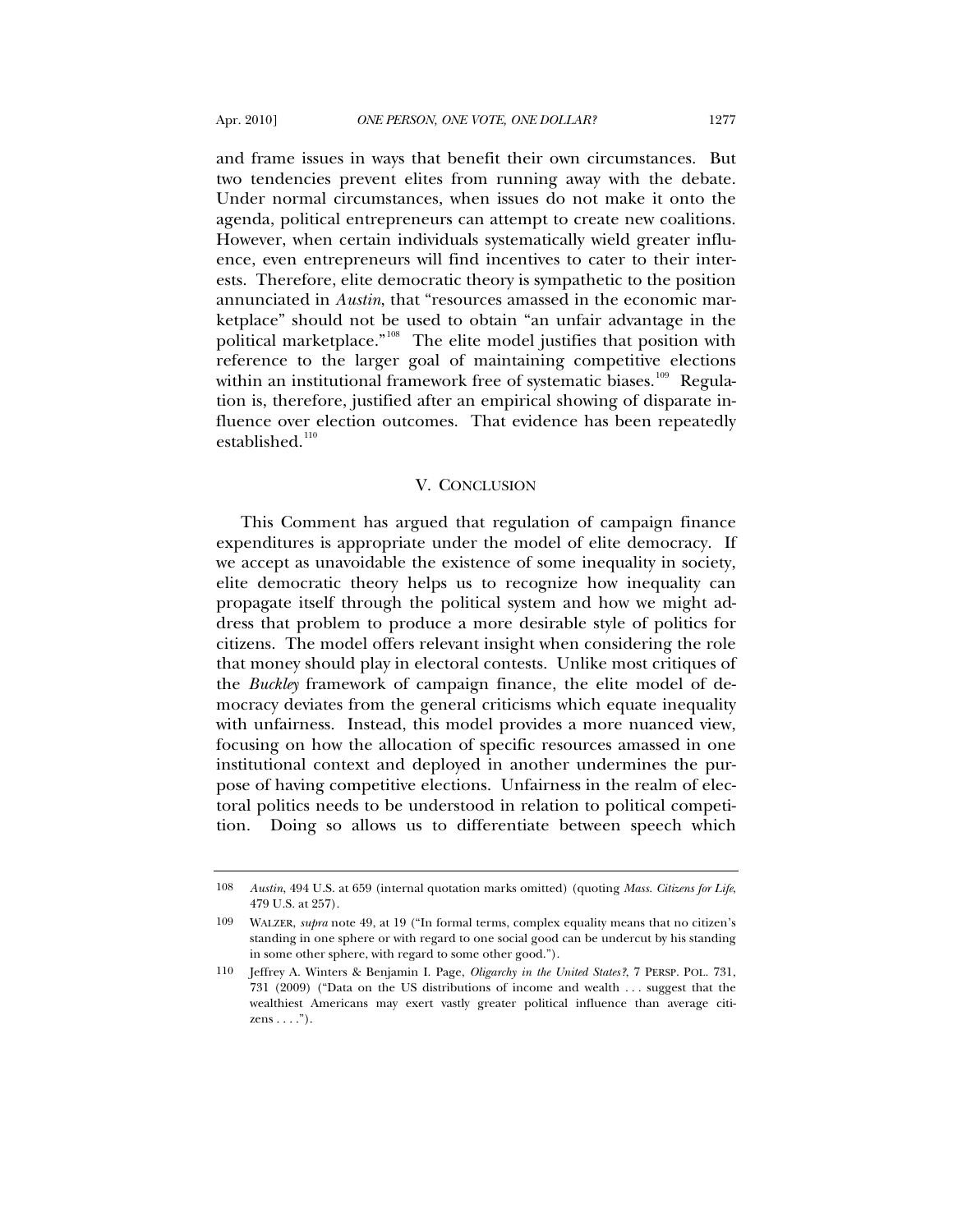and frame issues in ways that benefit their own circumstances. But two tendencies prevent elites from running away with the debate. Under normal circumstances, when issues do not make it onto the agenda, political entrepreneurs can attempt to create new coalitions. However, when certain individuals systematically wield greater influence, even entrepreneurs will find incentives to cater to their interests. Therefore, elite democratic theory is sympathetic to the position annunciated in *Austin*, that "resources amassed in the economic marketplace" should not be used to obtain "an unfair advantage in the political marketplace."<sup>[108](#page-20-0)</sup> The elite model justifies that position with reference to the larger goal of maintaining competitive elections within an institutional framework free of systematic biases.<sup>[109](#page-20-1)</sup> Regulation is, therefore, justified after an empirical showing of disparate influence over election outcomes. That evidence has been repeatedly established. $110$ 

### V. CONCLUSION

This Comment has argued that regulation of campaign finance expenditures is appropriate under the model of elite democracy. If we accept as unavoidable the existence of some inequality in society, elite democratic theory helps us to recognize how inequality can propagate itself through the political system and how we might address that problem to produce a more desirable style of politics for citizens. The model offers relevant insight when considering the role that money should play in electoral contests. Unlike most critiques of the *Buckley* framework of campaign finance, the elite model of democracy deviates from the general criticisms which equate inequality with unfairness. Instead, this model provides a more nuanced view, focusing on how the allocation of specific resources amassed in one institutional context and deployed in another undermines the purpose of having competitive elections. Unfairness in the realm of electoral politics needs to be understood in relation to political competition. Doing so allows us to differentiate between speech which

<span id="page-20-0"></span><sup>108</sup> *Austin*, 494 U.S. at 659 (internal quotation marks omitted) (quoting *Mass. Citizens for Life*, 479 U.S. at 257).

<span id="page-20-1"></span><sup>109</sup> WALZER, *supra* note 49, at 19 ("In formal terms, complex equality means that no citizen's standing in one sphere or with regard to one social good can be undercut by his standing in some other sphere, with regard to some other good.").

<span id="page-20-2"></span><sup>110</sup> Jeffrey A. Winters & Benjamin I. Page, *Oligarchy in the United States?*, 7 PERSP. POL. 731, 731 (2009) ("Data on the US distributions of income and wealth . . . suggest that the wealthiest Americans may exert vastly greater political influence than average citizens . . . .").